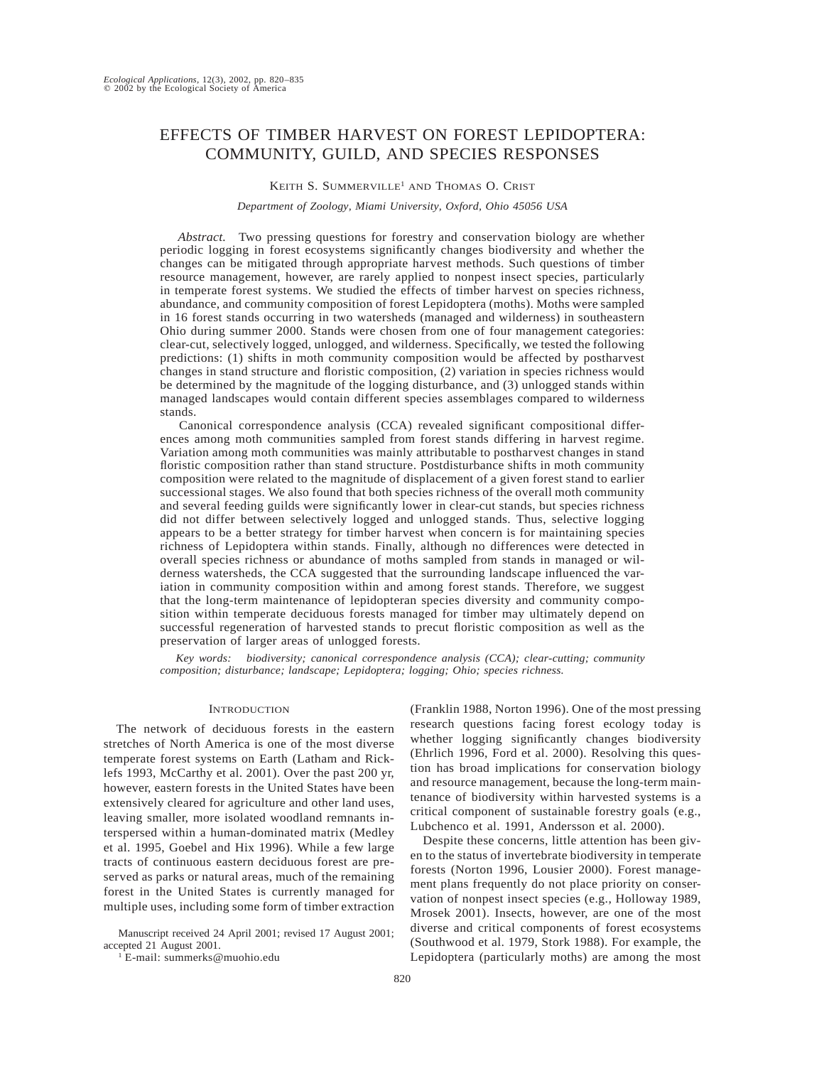# EFFECTS OF TIMBER HARVEST ON FOREST LEPIDOPTERA: COMMUNITY, GUILD, AND SPECIES RESPONSES

# KEITH S. SUMMERVILLE<sup>1</sup> AND THOMAS O. CRIST

#### *Department of Zoology, Miami University, Oxford, Ohio 45056 USA*

*Abstract.* Two pressing questions for forestry and conservation biology are whether periodic logging in forest ecosystems significantly changes biodiversity and whether the changes can be mitigated through appropriate harvest methods. Such questions of timber resource management, however, are rarely applied to nonpest insect species, particularly in temperate forest systems. We studied the effects of timber harvest on species richness, abundance, and community composition of forest Lepidoptera (moths). Moths were sampled in 16 forest stands occurring in two watersheds (managed and wilderness) in southeastern Ohio during summer 2000. Stands were chosen from one of four management categories: clear-cut, selectively logged, unlogged, and wilderness. Specifically, we tested the following predictions: (1) shifts in moth community composition would be affected by postharvest changes in stand structure and floristic composition, (2) variation in species richness would be determined by the magnitude of the logging disturbance, and (3) unlogged stands within managed landscapes would contain different species assemblages compared to wilderness stands.

Canonical correspondence analysis (CCA) revealed significant compositional differences among moth communities sampled from forest stands differing in harvest regime. Variation among moth communities was mainly attributable to postharvest changes in stand floristic composition rather than stand structure. Postdisturbance shifts in moth community composition were related to the magnitude of displacement of a given forest stand to earlier successional stages. We also found that both species richness of the overall moth community and several feeding guilds were significantly lower in clear-cut stands, but species richness did not differ between selectively logged and unlogged stands. Thus, selective logging appears to be a better strategy for timber harvest when concern is for maintaining species richness of Lepidoptera within stands. Finally, although no differences were detected in overall species richness or abundance of moths sampled from stands in managed or wilderness watersheds, the CCA suggested that the surrounding landscape influenced the variation in community composition within and among forest stands. Therefore, we suggest that the long-term maintenance of lepidopteran species diversity and community composition within temperate deciduous forests managed for timber may ultimately depend on successful regeneration of harvested stands to precut floristic composition as well as the preservation of larger areas of unlogged forests.

*Key words: biodiversity; canonical correspondence analysis (CCA); clear-cutting; community composition; disturbance; landscape; Lepidoptera; logging; Ohio; species richness.*

#### **INTRODUCTION**

The network of deciduous forests in the eastern stretches of North America is one of the most diverse temperate forest systems on Earth (Latham and Ricklefs 1993, McCarthy et al. 2001). Over the past 200 yr, however, eastern forests in the United States have been extensively cleared for agriculture and other land uses, leaving smaller, more isolated woodland remnants interspersed within a human-dominated matrix (Medley et al. 1995, Goebel and Hix 1996). While a few large tracts of continuous eastern deciduous forest are preserved as parks or natural areas, much of the remaining forest in the United States is currently managed for multiple uses, including some form of timber extraction

Manuscript received 24 April 2001; revised 17 August 2001; accepted 21 August 2001.

 $1$  E-mail: summerks@muohio.edu

(Franklin 1988, Norton 1996). One of the most pressing research questions facing forest ecology today is whether logging significantly changes biodiversity (Ehrlich 1996, Ford et al. 2000). Resolving this question has broad implications for conservation biology and resource management, because the long-term maintenance of biodiversity within harvested systems is a critical component of sustainable forestry goals (e.g., Lubchenco et al. 1991, Andersson et al. 2000).

Despite these concerns, little attention has been given to the status of invertebrate biodiversity in temperate forests (Norton 1996, Lousier 2000). Forest management plans frequently do not place priority on conservation of nonpest insect species (e.g., Holloway 1989, Mrosek 2001). Insects, however, are one of the most diverse and critical components of forest ecosystems (Southwood et al. 1979, Stork 1988). For example, the Lepidoptera (particularly moths) are among the most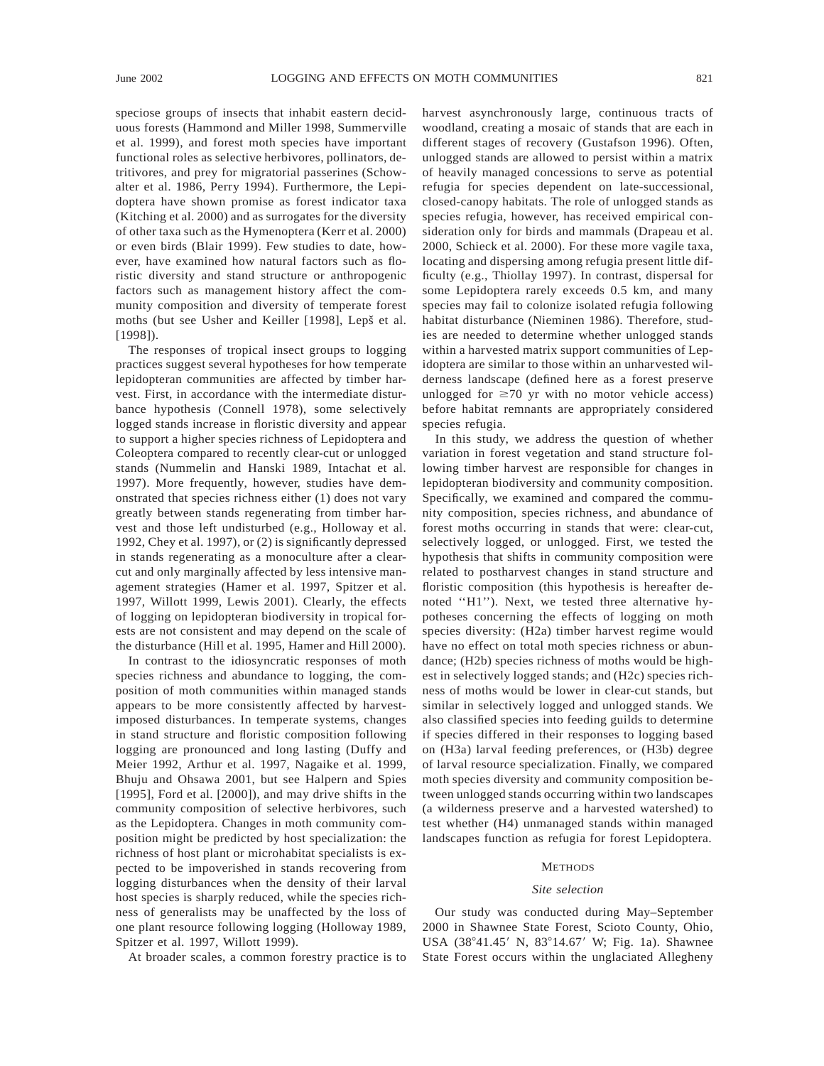speciose groups of insects that inhabit eastern deciduous forests (Hammond and Miller 1998, Summerville et al. 1999), and forest moth species have important functional roles as selective herbivores, pollinators, detritivores, and prey for migratorial passerines (Schowalter et al. 1986, Perry 1994). Furthermore, the Lepidoptera have shown promise as forest indicator taxa (Kitching et al. 2000) and as surrogates for the diversity of other taxa such as the Hymenoptera (Kerr et al. 2000) or even birds (Blair 1999). Few studies to date, however, have examined how natural factors such as floristic diversity and stand structure or anthropogenic factors such as management history affect the community composition and diversity of temperate forest moths (but see Usher and Keiller [1998], Lepš et al. [1998]).

The responses of tropical insect groups to logging practices suggest several hypotheses for how temperate lepidopteran communities are affected by timber harvest. First, in accordance with the intermediate disturbance hypothesis (Connell 1978), some selectively logged stands increase in floristic diversity and appear to support a higher species richness of Lepidoptera and Coleoptera compared to recently clear-cut or unlogged stands (Nummelin and Hanski 1989, Intachat et al. 1997). More frequently, however, studies have demonstrated that species richness either (1) does not vary greatly between stands regenerating from timber harvest and those left undisturbed (e.g., Holloway et al. 1992, Chey et al. 1997), or (2) is significantly depressed in stands regenerating as a monoculture after a clearcut and only marginally affected by less intensive management strategies (Hamer et al. 1997, Spitzer et al. 1997, Willott 1999, Lewis 2001). Clearly, the effects of logging on lepidopteran biodiversity in tropical forests are not consistent and may depend on the scale of the disturbance (Hill et al. 1995, Hamer and Hill 2000).

In contrast to the idiosyncratic responses of moth species richness and abundance to logging, the composition of moth communities within managed stands appears to be more consistently affected by harvestimposed disturbances. In temperate systems, changes in stand structure and floristic composition following logging are pronounced and long lasting (Duffy and Meier 1992, Arthur et al. 1997, Nagaike et al. 1999, Bhuju and Ohsawa 2001, but see Halpern and Spies [1995], Ford et al. [2000]), and may drive shifts in the community composition of selective herbivores, such as the Lepidoptera. Changes in moth community composition might be predicted by host specialization: the richness of host plant or microhabitat specialists is expected to be impoverished in stands recovering from logging disturbances when the density of their larval host species is sharply reduced, while the species richness of generalists may be unaffected by the loss of one plant resource following logging (Holloway 1989, Spitzer et al. 1997, Willott 1999).

At broader scales, a common forestry practice is to

harvest asynchronously large, continuous tracts of woodland, creating a mosaic of stands that are each in different stages of recovery (Gustafson 1996). Often, unlogged stands are allowed to persist within a matrix of heavily managed concessions to serve as potential refugia for species dependent on late-successional, closed-canopy habitats. The role of unlogged stands as species refugia, however, has received empirical consideration only for birds and mammals (Drapeau et al. 2000, Schieck et al. 2000). For these more vagile taxa, locating and dispersing among refugia present little difficulty (e.g., Thiollay 1997). In contrast, dispersal for some Lepidoptera rarely exceeds 0.5 km, and many species may fail to colonize isolated refugia following habitat disturbance (Nieminen 1986). Therefore, studies are needed to determine whether unlogged stands within a harvested matrix support communities of Lepidoptera are similar to those within an unharvested wilderness landscape (defined here as a forest preserve unlogged for  $\geq 70$  yr with no motor vehicle access) before habitat remnants are appropriately considered species refugia.

In this study, we address the question of whether variation in forest vegetation and stand structure following timber harvest are responsible for changes in lepidopteran biodiversity and community composition. Specifically, we examined and compared the community composition, species richness, and abundance of forest moths occurring in stands that were: clear-cut, selectively logged, or unlogged. First, we tested the hypothesis that shifts in community composition were related to postharvest changes in stand structure and floristic composition (this hypothesis is hereafter denoted ''H1''). Next, we tested three alternative hypotheses concerning the effects of logging on moth species diversity: (H2a) timber harvest regime would have no effect on total moth species richness or abundance; (H2b) species richness of moths would be highest in selectively logged stands; and (H2c) species richness of moths would be lower in clear-cut stands, but similar in selectively logged and unlogged stands. We also classified species into feeding guilds to determine if species differed in their responses to logging based on (H3a) larval feeding preferences, or (H3b) degree of larval resource specialization. Finally, we compared moth species diversity and community composition between unlogged stands occurring within two landscapes (a wilderness preserve and a harvested watershed) to test whether (H4) unmanaged stands within managed landscapes function as refugia for forest Lepidoptera.

### **METHODS**

#### *Site selection*

Our study was conducted during May–September 2000 in Shawnee State Forest, Scioto County, Ohio, USA (38°41.45' N, 83°14.67' W; Fig. 1a). Shawnee State Forest occurs within the unglaciated Allegheny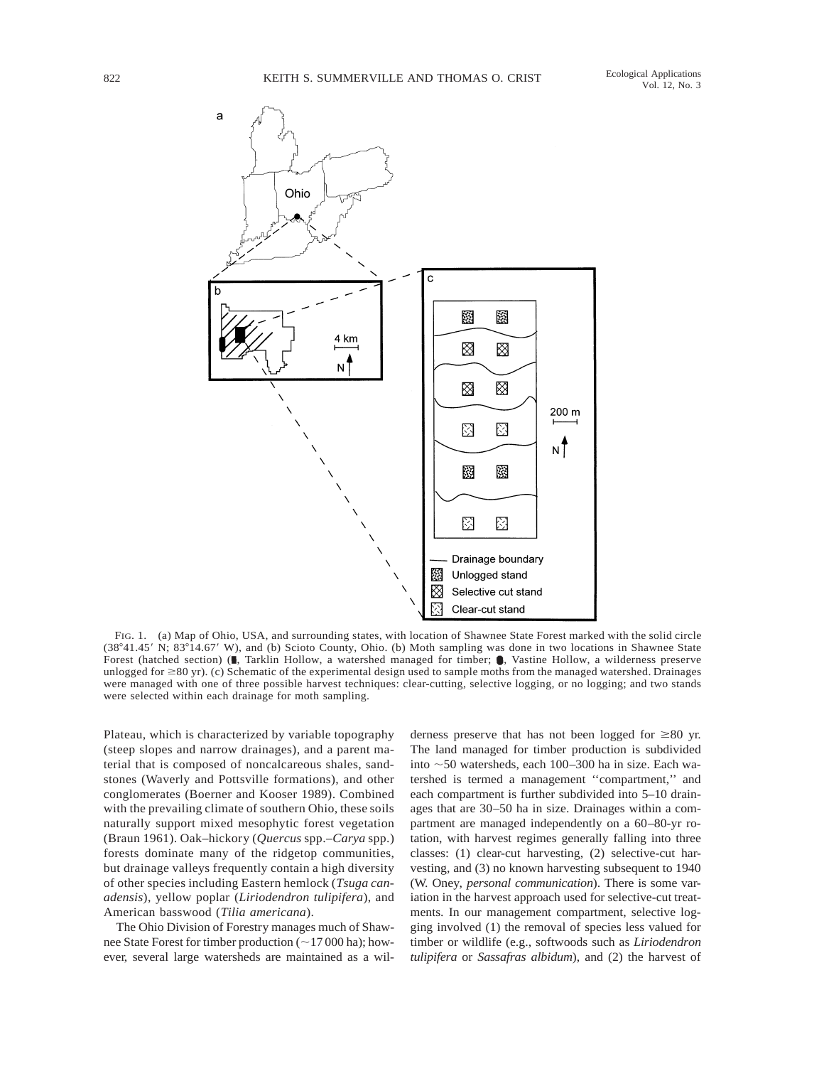

FIG. 1. (a) Map of Ohio, USA, and surrounding states, with location of Shawnee State Forest marked with the solid circle (38°41.45' N; 83°14.67' W), and (b) Scioto County, Ohio. (b) Moth sampling was done in two locations in Shawnee State Forest (hatched section) ( $\blacksquare$ , Tarklin Hollow, a watershed managed for timber;  $\lozenge$ , Vastine Hollow, a wilderness preserve unlogged for  $\geq 80$  yr). (c) Schematic of the experimental design used to sample moths from the managed watershed. Drainages were managed with one of three possible harvest techniques: clear-cutting, selective logging, or no logging; and two stands were selected within each drainage for moth sampling.

Plateau, which is characterized by variable topography (steep slopes and narrow drainages), and a parent material that is composed of noncalcareous shales, sandstones (Waverly and Pottsville formations), and other conglomerates (Boerner and Kooser 1989). Combined with the prevailing climate of southern Ohio, these soils naturally support mixed mesophytic forest vegetation (Braun 1961). Oak–hickory (*Quercus* spp.–*Carya* spp.) forests dominate many of the ridgetop communities, but drainage valleys frequently contain a high diversity of other species including Eastern hemlock (*Tsuga canadensis*), yellow poplar (*Liriodendron tulipifera*), and American basswood (*Tilia americana*).

The Ohio Division of Forestry manages much of Shawnee State Forest for timber production  $(\sim 17000$  ha); however, several large watersheds are maintained as a wilderness preserve that has not been logged for  $\geq 80$  yr. The land managed for timber production is subdivided into  $\sim$  50 watersheds, each 100–300 ha in size. Each watershed is termed a management ''compartment,'' and each compartment is further subdivided into 5–10 drainages that are 30–50 ha in size. Drainages within a compartment are managed independently on a 60–80-yr rotation, with harvest regimes generally falling into three classes: (1) clear-cut harvesting, (2) selective-cut harvesting, and (3) no known harvesting subsequent to 1940 (W. Oney, *personal communication*). There is some variation in the harvest approach used for selective-cut treatments. In our management compartment, selective logging involved (1) the removal of species less valued for timber or wildlife (e.g., softwoods such as *Liriodendron tulipifera* or *Sassafras albidum*), and (2) the harvest of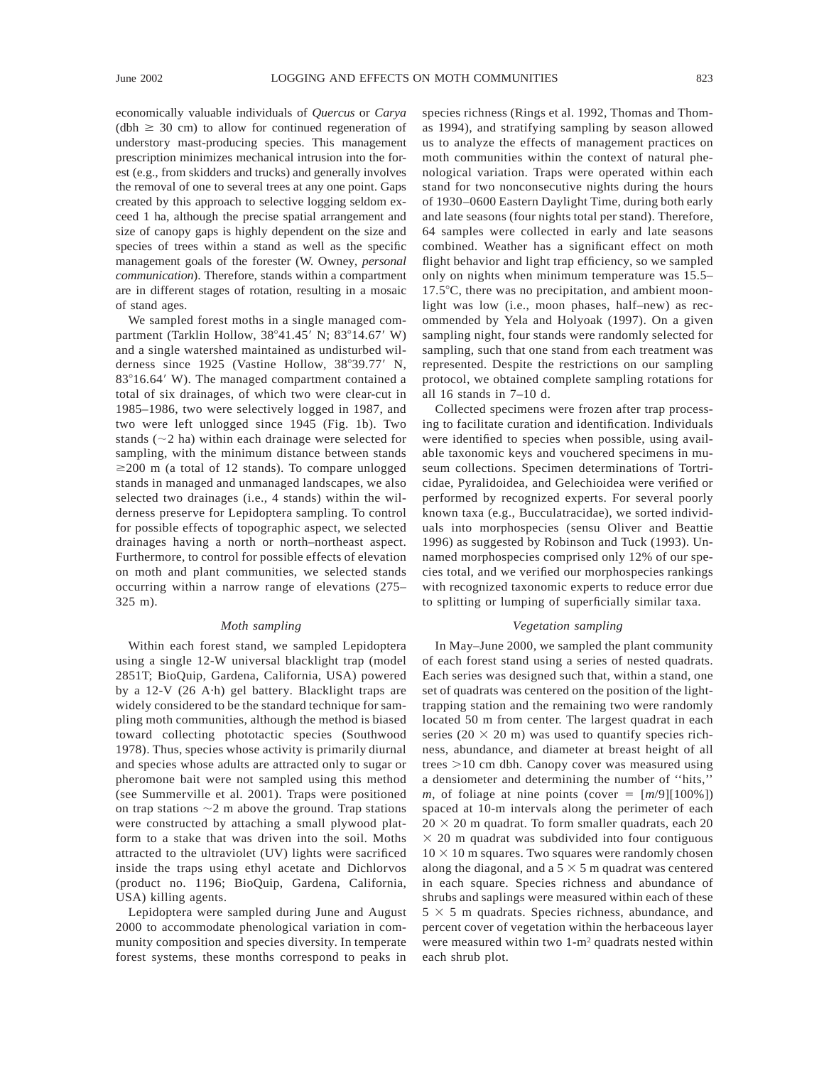economically valuable individuals of *Quercus* or *Carya*  $(dbh \ge 30 \text{ cm})$  to allow for continued regeneration of understory mast-producing species. This management prescription minimizes mechanical intrusion into the forest (e.g., from skidders and trucks) and generally involves the removal of one to several trees at any one point. Gaps created by this approach to selective logging seldom exceed 1 ha, although the precise spatial arrangement and size of canopy gaps is highly dependent on the size and species of trees within a stand as well as the specific management goals of the forester (W. Owney, *personal communication*). Therefore, stands within a compartment are in different stages of rotation, resulting in a mosaic of stand ages.

We sampled forest moths in a single managed compartment (Tarklin Hollow,  $38^{\circ}41.45'$  N;  $83^{\circ}14.67'$  W) and a single watershed maintained as undisturbed wilderness since  $1925$  (Vastine Hollow,  $38^{\circ}39.77'$  N,  $83^{\circ}16.64'$  W). The managed compartment contained a total of six drainages, of which two were clear-cut in 1985–1986, two were selectively logged in 1987, and two were left unlogged since 1945 (Fig. 1b). Two stands  $(\sim 2$  ha) within each drainage were selected for sampling, with the minimum distance between stands  $\geq$ 200 m (a total of 12 stands). To compare unlogged stands in managed and unmanaged landscapes, we also selected two drainages (i.e., 4 stands) within the wilderness preserve for Lepidoptera sampling. To control for possible effects of topographic aspect, we selected drainages having a north or north–northeast aspect. Furthermore, to control for possible effects of elevation on moth and plant communities, we selected stands occurring within a narrow range of elevations (275– 325 m).

#### *Moth sampling*

Within each forest stand, we sampled Lepidoptera using a single 12-W universal blacklight trap (model 2851T; BioQuip, Gardena, California, USA) powered by a 12-V (26 A·h) gel battery. Blacklight traps are widely considered to be the standard technique for sampling moth communities, although the method is biased toward collecting phototactic species (Southwood 1978). Thus, species whose activity is primarily diurnal and species whose adults are attracted only to sugar or pheromone bait were not sampled using this method (see Summerville et al. 2001). Traps were positioned on trap stations  $\sim$  2 m above the ground. Trap stations were constructed by attaching a small plywood platform to a stake that was driven into the soil. Moths attracted to the ultraviolet (UV) lights were sacrificed inside the traps using ethyl acetate and Dichlorvos (product no. 1196; BioQuip, Gardena, California, USA) killing agents.

Lepidoptera were sampled during June and August 2000 to accommodate phenological variation in community composition and species diversity. In temperate forest systems, these months correspond to peaks in

species richness (Rings et al. 1992, Thomas and Thomas 1994), and stratifying sampling by season allowed us to analyze the effects of management practices on moth communities within the context of natural phenological variation. Traps were operated within each stand for two nonconsecutive nights during the hours of 1930–0600 Eastern Daylight Time, during both early and late seasons (four nights total per stand). Therefore, 64 samples were collected in early and late seasons combined. Weather has a significant effect on moth flight behavior and light trap efficiency, so we sampled only on nights when minimum temperature was 15.5–  $17.5^{\circ}$ C, there was no precipitation, and ambient moonlight was low (i.e., moon phases, half–new) as recommended by Yela and Holyoak (1997). On a given sampling night, four stands were randomly selected for sampling, such that one stand from each treatment was represented. Despite the restrictions on our sampling protocol, we obtained complete sampling rotations for all 16 stands in 7–10 d.

Collected specimens were frozen after trap processing to facilitate curation and identification. Individuals were identified to species when possible, using available taxonomic keys and vouchered specimens in museum collections. Specimen determinations of Tortricidae, Pyralidoidea, and Gelechioidea were verified or performed by recognized experts. For several poorly known taxa (e.g., Bucculatracidae), we sorted individuals into morphospecies (sensu Oliver and Beattie 1996) as suggested by Robinson and Tuck (1993). Unnamed morphospecies comprised only 12% of our species total, and we verified our morphospecies rankings with recognized taxonomic experts to reduce error due to splitting or lumping of superficially similar taxa.

#### *Vegetation sampling*

In May–June 2000, we sampled the plant community of each forest stand using a series of nested quadrats. Each series was designed such that, within a stand, one set of quadrats was centered on the position of the lighttrapping station and the remaining two were randomly located 50 m from center. The largest quadrat in each series (20  $\times$  20 m) was used to quantify species richness, abundance, and diameter at breast height of all trees  $>10$  cm dbh. Canopy cover was measured using a densiometer and determining the number of ''hits,'' *m*, of foliage at nine points (cover  $= [m/9][100\%]$ ) spaced at 10-m intervals along the perimeter of each  $20 \times 20$  m quadrat. To form smaller quadrats, each 20  $\times$  20 m quadrat was subdivided into four contiguous  $10 \times 10$  m squares. Two squares were randomly chosen along the diagonal, and a  $5 \times 5$  m quadrat was centered in each square. Species richness and abundance of shrubs and saplings were measured within each of these  $5 \times 5$  m quadrats. Species richness, abundance, and percent cover of vegetation within the herbaceous layer were measured within two 1-m2 quadrats nested within each shrub plot.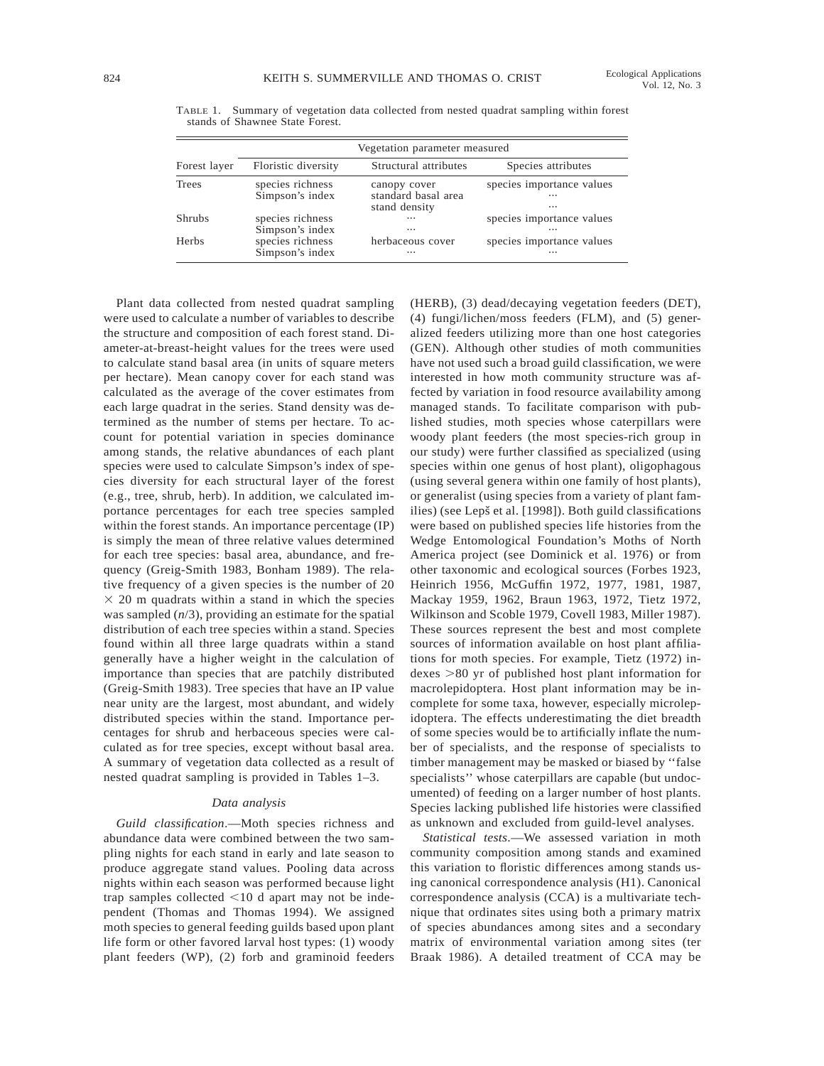|              | Vegetation parameter measured       |                                                      |                                                   |  |  |
|--------------|-------------------------------------|------------------------------------------------------|---------------------------------------------------|--|--|
| Forest layer | Floristic diversity                 | Structural attributes                                | Species attributes                                |  |  |
| Trees        | species richness<br>Simpson's index | canopy cover<br>standard basal area<br>stand density | species importance values<br>$\cdots$<br>$\cdots$ |  |  |
| Shrubs       | species richness<br>Simpson's index | $\cdots$<br>$\cdots$                                 | species importance values<br>$\cdots$             |  |  |
| Herbs        | species richness<br>Simpson's index | herbaceous cover<br>$\cdots$                         | species importance values<br>$\cdots$             |  |  |

TABLE 1. Summary of vegetation data collected from nested quadrat sampling within forest stands of Shawnee State Forest.

Plant data collected from nested quadrat sampling were used to calculate a number of variables to describe the structure and composition of each forest stand. Diameter-at-breast-height values for the trees were used to calculate stand basal area (in units of square meters per hectare). Mean canopy cover for each stand was calculated as the average of the cover estimates from each large quadrat in the series. Stand density was determined as the number of stems per hectare. To account for potential variation in species dominance among stands, the relative abundances of each plant species were used to calculate Simpson's index of species diversity for each structural layer of the forest (e.g., tree, shrub, herb). In addition, we calculated importance percentages for each tree species sampled within the forest stands. An importance percentage (IP) is simply the mean of three relative values determined for each tree species: basal area, abundance, and frequency (Greig-Smith 1983, Bonham 1989). The relative frequency of a given species is the number of 20  $\times$  20 m quadrats within a stand in which the species was sampled (*n*/3), providing an estimate for the spatial distribution of each tree species within a stand. Species found within all three large quadrats within a stand generally have a higher weight in the calculation of importance than species that are patchily distributed (Greig-Smith 1983). Tree species that have an IP value near unity are the largest, most abundant, and widely distributed species within the stand. Importance percentages for shrub and herbaceous species were calculated as for tree species, except without basal area. A summary of vegetation data collected as a result of nested quadrat sampling is provided in Tables 1–3.

#### *Data analysis*

*Guild classification*.—Moth species richness and abundance data were combined between the two sampling nights for each stand in early and late season to produce aggregate stand values. Pooling data across nights within each season was performed because light trap samples collected  $<$ 10 d apart may not be independent (Thomas and Thomas 1994). We assigned moth species to general feeding guilds based upon plant life form or other favored larval host types: (1) woody plant feeders (WP), (2) forb and graminoid feeders (HERB), (3) dead/decaying vegetation feeders (DET), (4) fungi/lichen/moss feeders (FLM), and (5) generalized feeders utilizing more than one host categories (GEN). Although other studies of moth communities have not used such a broad guild classification, we were interested in how moth community structure was affected by variation in food resource availability among managed stands. To facilitate comparison with published studies, moth species whose caterpillars were woody plant feeders (the most species-rich group in our study) were further classified as specialized (using species within one genus of host plant), oligophagous (using several genera within one family of host plants), or generalist (using species from a variety of plant families) (see Lepš et al. [1998]). Both guild classifications were based on published species life histories from the Wedge Entomological Foundation's Moths of North America project (see Dominick et al. 1976) or from other taxonomic and ecological sources (Forbes 1923, Heinrich 1956, McGuffin 1972, 1977, 1981, 1987, Mackay 1959, 1962, Braun 1963, 1972, Tietz 1972, Wilkinson and Scoble 1979, Covell 1983, Miller 1987). These sources represent the best and most complete sources of information available on host plant affiliations for moth species. For example, Tietz (1972) indexes  $>80$  yr of published host plant information for macrolepidoptera. Host plant information may be incomplete for some taxa, however, especially microlepidoptera. The effects underestimating the diet breadth of some species would be to artificially inflate the number of specialists, and the response of specialists to timber management may be masked or biased by ''false specialists'' whose caterpillars are capable (but undocumented) of feeding on a larger number of host plants. Species lacking published life histories were classified as unknown and excluded from guild-level analyses.

*Statistical tests*.—We assessed variation in moth community composition among stands and examined this variation to floristic differences among stands using canonical correspondence analysis (H1). Canonical correspondence analysis (CCA) is a multivariate technique that ordinates sites using both a primary matrix of species abundances among sites and a secondary matrix of environmental variation among sites (ter Braak 1986). A detailed treatment of CCA may be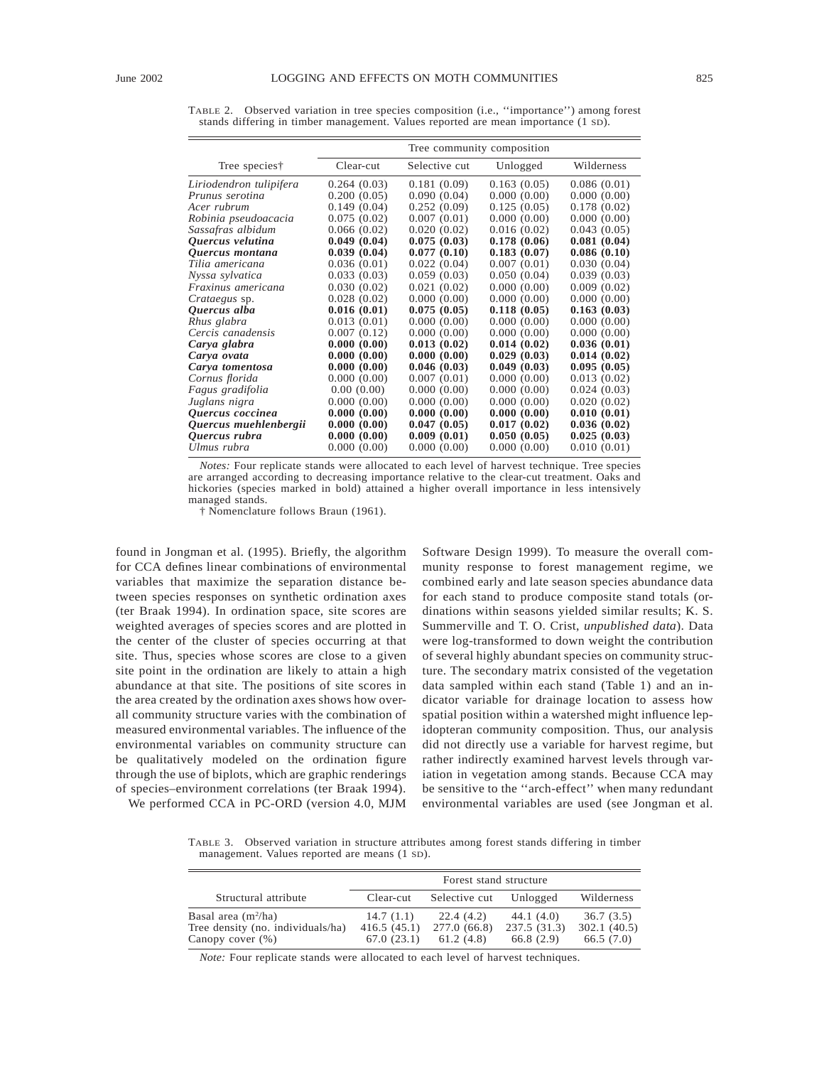|                         | Tree community composition |               |             |             |  |
|-------------------------|----------------------------|---------------|-------------|-------------|--|
| Tree species†           | Clear-cut                  | Selective cut | Unlogged    | Wilderness  |  |
| Liriodendron tulipifera | 0.264(0.03)                | 0.181(0.09)   | 0.163(0.05) | 0.086(0.01) |  |
| Prunus serotina         | 0.200(0.05)                | 0.090(0.04)   | 0.000(0.00) | 0.000(0.00) |  |
| Acer rubrum             | 0.149(0.04)                | 0.252(0.09)   | 0.125(0.05) | 0.178(0.02) |  |
| Robinia pseudoacacia    | 0.075(0.02)                | 0.007(0.01)   | 0.000(0.00) | 0.000(0.00) |  |
| Sassafras albidum       | 0.066(0.02)                | 0.020(0.02)   | 0.016(0.02) | 0.043(0.05) |  |
| Quercus velutina        | 0.049(0.04)                | 0.075(0.03)   | 0.178(0.06) | 0.081(0.04) |  |
| Quercus montana         | 0.039(0.04)                | 0.077(0.10)   | 0.183(0.07) | 0.086(0.10) |  |
| Tilia americana         | 0.036(0.01)                | 0.022(0.04)   | 0.007(0.01) | 0.030(0.04) |  |
| Nyssa sylvatica         | 0.033(0.03)                | 0.059(0.03)   | 0.050(0.04) | 0.039(0.03) |  |
| Fraxinus americana      | 0.030(0.02)                | 0.021(0.02)   | 0.000(0.00) | 0.009(0.02) |  |
| <i>Crataegus sp.</i>    | 0.028(0.02)                | 0.000(0.00)   | 0.000(0.00) | 0.000(0.00) |  |
| Quercus alba            | 0.016(0.01)                | 0.075(0.05)   | 0.118(0.05) | 0.163(0.03) |  |
| Rhus glabra             | 0.013(0.01)                | 0.000(0.00)   | 0.000(0.00) | 0.000(0.00) |  |
| Cercis canadensis       | 0.007(0.12)                | 0.000(0.00)   | 0.000(0.00) | 0.000(0.00) |  |
| Carya glabra            | 0.000(0.00)                | 0.013(0.02)   | 0.014(0.02) | 0.036(0.01) |  |
| Carya ovata             | 0.000(0.00)                | 0.000(0.00)   | 0.029(0.03) | 0.014(0.02) |  |
| Carya tomentosa         | 0.000(0.00)                | 0.046(0.03)   | 0.049(0.03) | 0.095(0.05) |  |
| Cornus florida          | 0.000(0.00)                | 0.007(0.01)   | 0.000(0.00) | 0.013(0.02) |  |
| Fagus gradifolia        | 0.00(0.00)                 | 0.000(0.00)   | 0.000(0.00) | 0.024(0.03) |  |
| Juglans nigra           | 0.000(0.00)                | 0.000(0.00)   | 0.000(0.00) | 0.020(0.02) |  |
| Quercus coccinea        | 0.000(0.00)                | 0.000(0.00)   | 0.000(0.00) | 0.010(0.01) |  |
| Quercus muehlenbergii   | 0.000(0.00)                | 0.047(0.05)   | 0.017(0.02) | 0.036(0.02) |  |
| Quercus rubra           | 0.000(0.00)                | 0.009(0.01)   | 0.050(0.05) | 0.025(0.03) |  |
| Ulmus rubra             | 0.000(0.00)                | 0.000(0.00)   | 0.000(0.00) | 0.010(0.01) |  |

TABLE 2. Observed variation in tree species composition (i.e., ''importance'') among forest stands differing in timber management. Values reported are mean importance (1 SD).

*Notes:* Four replicate stands were allocated to each level of harvest technique. Tree species are arranged according to decreasing importance relative to the clear-cut treatment. Oaks and hickories (species marked in bold) attained a higher overall importance in less intensively managed stands.

† Nomenclature follows Braun (1961).

found in Jongman et al. (1995). Briefly, the algorithm for CCA defines linear combinations of environmental variables that maximize the separation distance between species responses on synthetic ordination axes (ter Braak 1994). In ordination space, site scores are weighted averages of species scores and are plotted in the center of the cluster of species occurring at that site. Thus, species whose scores are close to a given site point in the ordination are likely to attain a high abundance at that site. The positions of site scores in the area created by the ordination axes shows how overall community structure varies with the combination of measured environmental variables. The influence of the environmental variables on community structure can be qualitatively modeled on the ordination figure through the use of biplots, which are graphic renderings of species–environment correlations (ter Braak 1994).

We performed CCA in PC-ORD (version 4.0, MJM

Software Design 1999). To measure the overall community response to forest management regime, we combined early and late season species abundance data for each stand to produce composite stand totals (ordinations within seasons yielded similar results; K. S. Summerville and T. O. Crist, *unpublished data*). Data were log-transformed to down weight the contribution of several highly abundant species on community structure. The secondary matrix consisted of the vegetation data sampled within each stand (Table 1) and an indicator variable for drainage location to assess how spatial position within a watershed might influence lepidopteran community composition. Thus, our analysis did not directly use a variable for harvest regime, but rather indirectly examined harvest levels through variation in vegetation among stands. Because CCA may be sensitive to the ''arch-effect'' when many redundant environmental variables are used (see Jongman et al.

TABLE 3. Observed variation in structure attributes among forest stands differing in timber management. Values reported are means (1 SD).

|                                                                                   | Forest stand structure                 |                                        |                                        |                                       |
|-----------------------------------------------------------------------------------|----------------------------------------|----------------------------------------|----------------------------------------|---------------------------------------|
| Structural attribute                                                              | Clear-cut                              | Selective cut                          | Unlogged                               | Wilderness                            |
| Basal area $(m^2/ha)$<br>Tree density (no. individuals/ha)<br>Canopy cover $(\%)$ | 14.7(1.1)<br>416.5(45.1)<br>67.0(23.1) | 22.4 (4.2)<br>277.0(66.8)<br>61.2(4.8) | 44.1 (4.0)<br>237.5(31.3)<br>66.8(2.9) | 36.7(3.5)<br>302.1(40.5)<br>66.5(7.0) |

*Note:* Four replicate stands were allocated to each level of harvest techniques.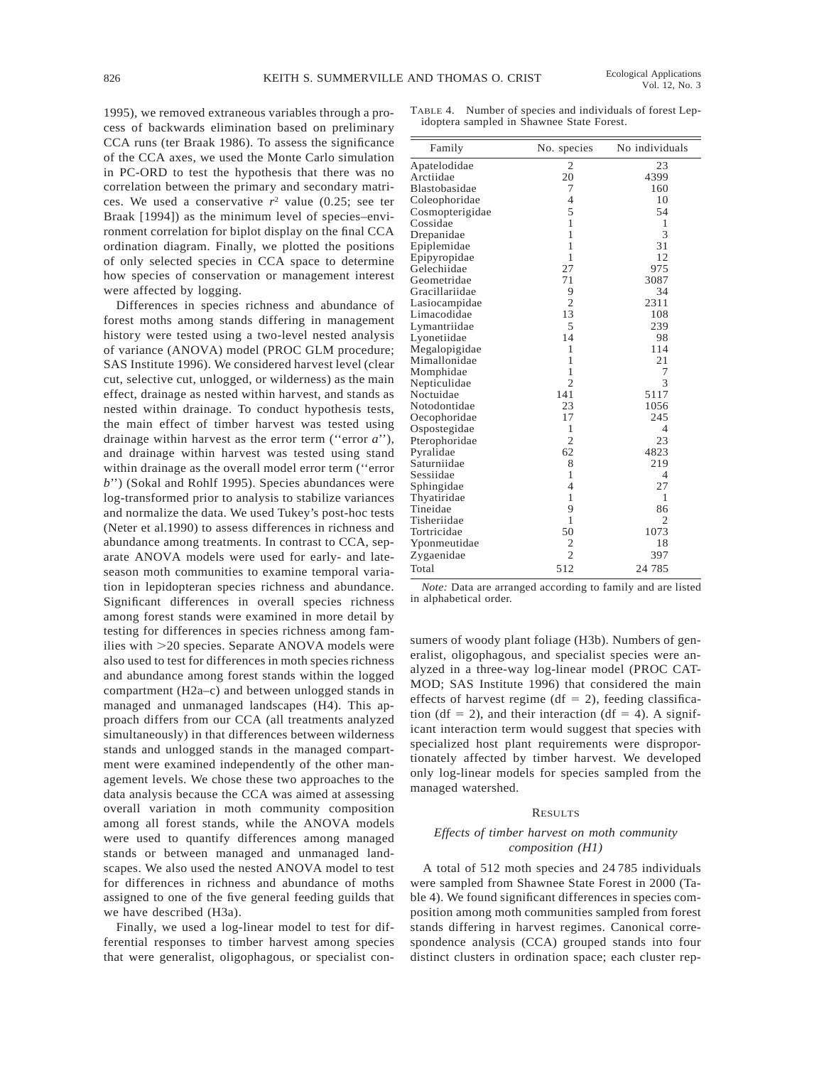1995), we removed extraneous variables through a process of backwards elimination based on preliminary CCA runs (ter Braak 1986). To assess the significance of the CCA axes, we used the Monte Carlo simulation in PC-ORD to test the hypothesis that there was no correlation between the primary and secondary matrices. We used a conservative  $r^2$  value (0.25; see ter Braak [1994]) as the minimum level of species–environment correlation for biplot display on the final CCA ordination diagram. Finally, we plotted the positions of only selected species in CCA space to determine how species of conservation or management interest were affected by logging.

Differences in species richness and abundance of forest moths among stands differing in management history were tested using a two-level nested analysis of variance (ANOVA) model (PROC GLM procedure; SAS Institute 1996). We considered harvest level (clear cut, selective cut, unlogged, or wilderness) as the main effect, drainage as nested within harvest, and stands as nested within drainage. To conduct hypothesis tests, the main effect of timber harvest was tested using drainage within harvest as the error term (''error *a*''), and drainage within harvest was tested using stand within drainage as the overall model error term (''error *b*") (Sokal and Rohlf 1995). Species abundances were log-transformed prior to analysis to stabilize variances and normalize the data. We used Tukey's post-hoc tests (Neter et al.1990) to assess differences in richness and abundance among treatments. In contrast to CCA, separate ANOVA models were used for early- and lateseason moth communities to examine temporal variation in lepidopteran species richness and abundance. Significant differences in overall species richness among forest stands were examined in more detail by testing for differences in species richness among families with  $>20$  species. Separate ANOVA models were also used to test for differences in moth species richness and abundance among forest stands within the logged compartment (H2a–c) and between unlogged stands in managed and unmanaged landscapes (H4). This approach differs from our CCA (all treatments analyzed simultaneously) in that differences between wilderness stands and unlogged stands in the managed compartment were examined independently of the other management levels. We chose these two approaches to the data analysis because the CCA was aimed at assessing overall variation in moth community composition among all forest stands, while the ANOVA models were used to quantify differences among managed stands or between managed and unmanaged landscapes. We also used the nested ANOVA model to test for differences in richness and abundance of moths assigned to one of the five general feeding guilds that we have described (H3a).

Finally, we used a log-linear model to test for differential responses to timber harvest among species that were generalist, oligophagous, or specialist con-

TABLE 4. Number of species and individuals of forest Lepidoptera sampled in Shawnee State Forest.

| Family          | No. species    | No individuals |
|-----------------|----------------|----------------|
| Apatelodidae    | 2              | 23             |
| Arctiidae       | 20             | 4399           |
| Blastobasidae   | 7              | 160            |
| Coleophoridae   | $\overline{4}$ | 10             |
| Cosmopterigidae | 5              | 54             |
| Cossidae        | $\overline{1}$ | 1              |
| Drepanidae      | $\mathbf{1}$   | 3              |
| Epiplemidae     | $\mathbf{1}$   | 31             |
| Epipyropidae    | 1              | 12             |
| Gelechiidae     | 27             | 975            |
| Geometridae     | 71             | 3087           |
| Gracillariidae  | 9              | 34             |
| Lasiocampidae   | $\overline{2}$ | 2311           |
| Limacodidae     | 13             | 108            |
| Lymantriidae    | 5              | 239            |
| Lyonetiidae     | 14             | 98             |
| Megalopigidae   | 1              | 114            |
| Mimallonidae    | 1              | 21             |
| Momphidae       | 1              | 7              |
| Nepticulidae    | $\overline{2}$ | 3              |
| Noctuidae       | 141            | 5117           |
| Notodontidae    | 23             | 1056           |
| Oecophoridae    | 17             | 245            |
| Ospostegidae    | 1              | 4              |
| Pterophoridae   | $\overline{2}$ | 23             |
| Pyralidae       | 62             | 4823           |
| Saturniidae     | 8              | 219            |
| Sessiidae       | $\mathbf{1}$   | 4              |
| Sphingidae      | $\overline{4}$ | 27             |
| Thyatiridae     | $\mathbf{1}$   | 1              |
| Tineidae        | 9              | 86             |
| Tisheriidae     | 1              | $\overline{2}$ |
| Tortricidae     | 50             | 1073           |
| Yponmeutidae    | 2              | 18             |
| Zygaenidae      | $\overline{c}$ | 397            |
| Total           | 512            | 24 7 8 5       |

*Note:* Data are arranged according to family and are listed in alphabetical order.

sumers of woody plant foliage (H3b). Numbers of generalist, oligophagous, and specialist species were analyzed in a three-way log-linear model (PROC CAT-MOD; SAS Institute 1996) that considered the main effects of harvest regime (df = 2), feeding classification (df = 2), and their interaction (df = 4). A significant interaction term would suggest that species with specialized host plant requirements were disproportionately affected by timber harvest. We developed only log-linear models for species sampled from the managed watershed.

### RESULTS

# *Effects of timber harvest on moth community composition (H1)*

A total of 512 moth species and 24 785 individuals were sampled from Shawnee State Forest in 2000 (Table 4). We found significant differences in species composition among moth communities sampled from forest stands differing in harvest regimes. Canonical correspondence analysis (CCA) grouped stands into four distinct clusters in ordination space; each cluster rep-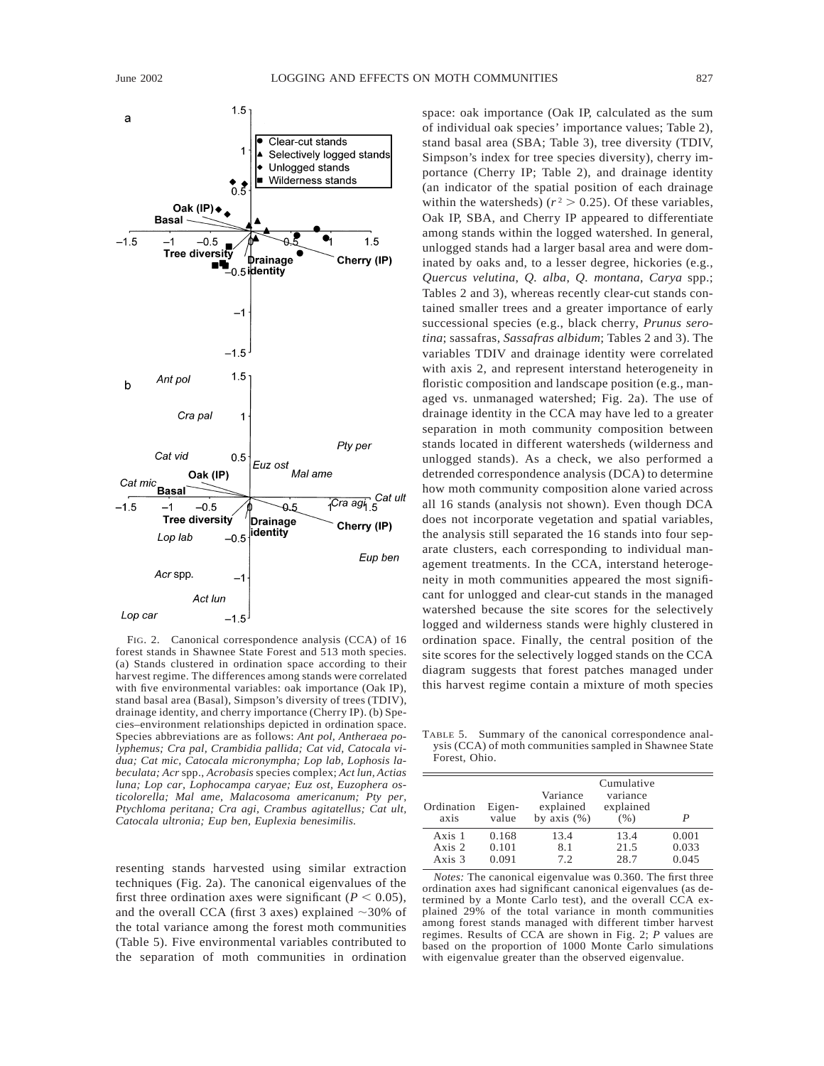

FIG. 2. Canonical correspondence analysis (CCA) of 16 forest stands in Shawnee State Forest and 513 moth species. (a) Stands clustered in ordination space according to their harvest regime. The differences among stands were correlated with five environmental variables: oak importance (Oak IP), stand basal area (Basal), Simpson's diversity of trees (TDIV), drainage identity, and cherry importance (Cherry IP). (b) Species–environment relationships depicted in ordination space. Species abbreviations are as follows: *Ant pol, Antheraea polyphemus; Cra pal, Crambidia pallida; Cat vid, Catocala vidua; Cat mic, Catocala micronympha; Lop lab, Lophosis labeculata; Acr* spp., *Acrobasis* species complex; *Act lun, Actias luna; Lop car, Lophocampa caryae; Euz ost, Euzophera osticolorella; Mal ame, Malacosoma americanum; Pty per, Ptychloma peritana; Cra agi, Crambus agitatellus; Cat ult, Catocala ultronia; Eup ben, Euplexia benesimilis.*

resenting stands harvested using similar extraction techniques (Fig. 2a). The canonical eigenvalues of the first three ordination axes were significant ( $P < 0.05$ ), and the overall CCA (first 3 axes) explained  $\sim$ 30% of the total variance among the forest moth communities (Table 5). Five environmental variables contributed to the separation of moth communities in ordination space: oak importance (Oak IP, calculated as the sum of individual oak species' importance values; Table 2), stand basal area (SBA; Table 3), tree diversity (TDIV, Simpson's index for tree species diversity), cherry importance (Cherry IP; Table 2), and drainage identity (an indicator of the spatial position of each drainage within the watersheds) ( $r^2 > 0.25$ ). Of these variables, Oak IP, SBA, and Cherry IP appeared to differentiate among stands within the logged watershed. In general, unlogged stands had a larger basal area and were dominated by oaks and, to a lesser degree, hickories (e.g., *Quercus velutina*, *Q. alba*, *Q. montana*, *Carya* spp.; Tables 2 and 3), whereas recently clear-cut stands contained smaller trees and a greater importance of early successional species (e.g., black cherry, *Prunus serotina*; sassafras, *Sassafras albidum*; Tables 2 and 3). The variables TDIV and drainage identity were correlated with axis 2, and represent interstand heterogeneity in floristic composition and landscape position (e.g., managed vs. unmanaged watershed; Fig. 2a). The use of drainage identity in the CCA may have led to a greater separation in moth community composition between stands located in different watersheds (wilderness and unlogged stands). As a check, we also performed a detrended correspondence analysis (DCA) to determine how moth community composition alone varied across all 16 stands (analysis not shown). Even though DCA does not incorporate vegetation and spatial variables, the analysis still separated the 16 stands into four separate clusters, each corresponding to individual management treatments. In the CCA, interstand heterogeneity in moth communities appeared the most significant for unlogged and clear-cut stands in the managed watershed because the site scores for the selectively logged and wilderness stands were highly clustered in ordination space. Finally, the central position of the site scores for the selectively logged stands on the CCA diagram suggests that forest patches managed under this harvest regime contain a mixture of moth species

TABLE 5. Summary of the canonical correspondence analysis (CCA) of moth communities sampled in Shawnee State Forest, Ohio.

| Ordination<br>axis | Eigen-<br>value | Variance<br>explained<br>by axis $(\%)$ | Cumulative<br>variance<br>explained<br>(% ) | P     |
|--------------------|-----------------|-----------------------------------------|---------------------------------------------|-------|
| Axis 1             | 0.168           | 13.4                                    | 13.4                                        | 0.001 |
| Axis 2             | 0.101           | 8.1                                     | 21.5                                        | 0.033 |
| Axis $3$           | 0.091           | 7.2                                     | 28.7                                        | 0.045 |

*Notes:* The canonical eigenvalue was 0.360. The first three ordination axes had significant canonical eigenvalues (as determined by a Monte Carlo test), and the overall CCA explained 29% of the total variance in month communities among forest stands managed with different timber harvest regimes. Results of CCA are shown in Fig. 2; *P* values are based on the proportion of 1000 Monte Carlo simulations with eigenvalue greater than the observed eigenvalue.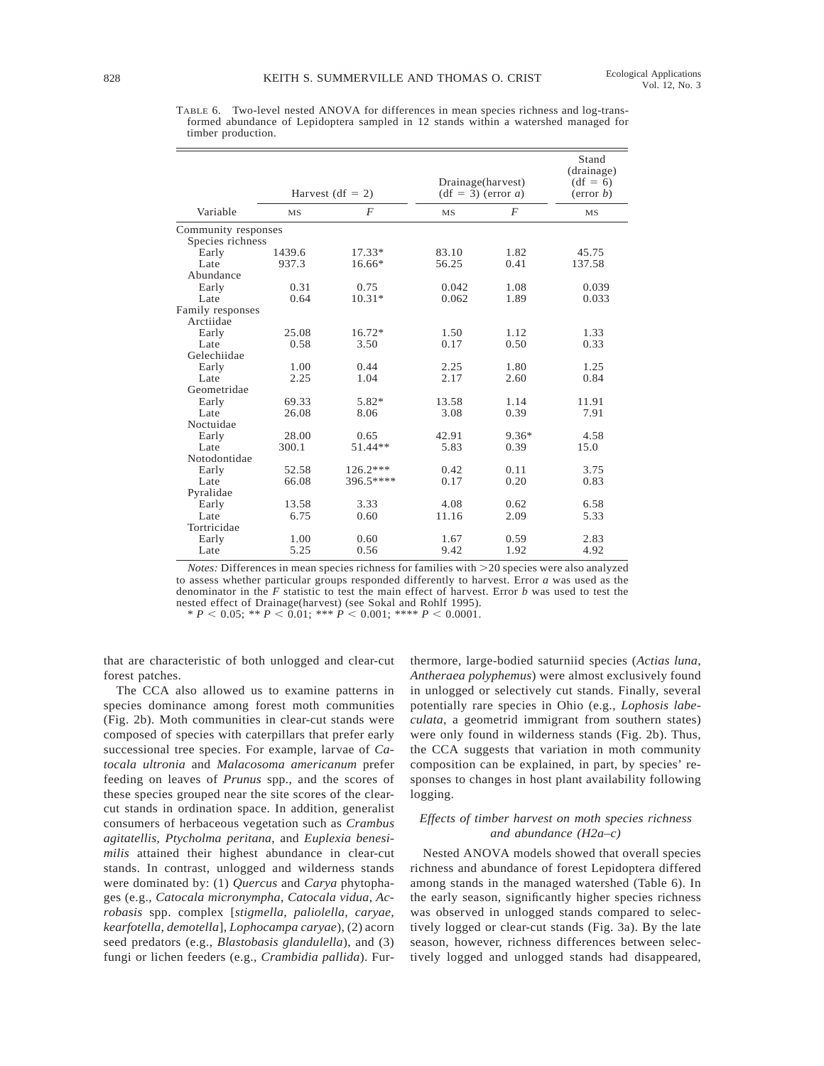TABLE 6. Two-level nested ANOVA for differences in mean species richness and log-transformed abundance of Lepidoptera sampled in 12 stands within a watershed managed for timber production.

|                     | Harvest (df = 2) |            | Drainage(harvest)<br>$(df = 3) (error a)$ | Stand<br>(drainage)<br>$(df = 6)$<br>(error b) |           |
|---------------------|------------------|------------|-------------------------------------------|------------------------------------------------|-----------|
| Variable            | <b>MS</b>        | F          | <b>MS</b>                                 | $\overline{F}$                                 | <b>MS</b> |
| Community responses |                  |            |                                           |                                                |           |
| Species richness    |                  |            |                                           |                                                |           |
| Early               | 1439.6           | $17.33*$   | 83.10                                     | 1.82                                           | 45.75     |
| Late                | 937.3            | 16.66*     | 56.25                                     | 0.41                                           | 137.58    |
| Abundance           |                  |            |                                           |                                                |           |
| Early               | 0.31             | 0.75       | 0.042                                     | 1.08                                           | 0.039     |
| Late                | 0.64             | $10.31*$   | 0.062                                     | 1.89                                           | 0.033     |
| Family responses    |                  |            |                                           |                                                |           |
| Arctiidae           |                  |            |                                           |                                                |           |
| Early               | 25.08            | $16.72*$   | 1.50                                      | 1.12                                           | 1.33      |
| Late                | 0.58             | 3.50       | 0.17                                      | 0.50                                           | 0.33      |
| Gelechiidae         |                  |            |                                           |                                                |           |
| Early               | 1.00             | 0.44       | 2.25                                      | 1.80                                           | 1.25      |
| Late                | 2.25             | 1.04       | 2.17                                      | 2.60                                           | 0.84      |
| Geometridae         |                  |            |                                           |                                                |           |
| Early               | 69.33            | 5.82*      | 13.58                                     | 1.14                                           | 11.91     |
| Late                | 26.08            | 8.06       | 3.08                                      | 0.39                                           | 7.91      |
| Noctuidae           |                  |            |                                           |                                                |           |
| Early               | 28.00            | 0.65       | 42.91                                     | $9.36*$                                        | 4.58      |
| Late                | 300.1            | 51.44**    | 5.83                                      | 0.39                                           | 15.0      |
| Notodontidae        |                  |            |                                           |                                                |           |
| Early               | 52.58            | $126.2***$ | 0.42                                      | 0.11                                           | 3.75      |
| Late                | 66.08            | 396.5****  | 0.17                                      | 0.20                                           | 0.83      |
| Pyralidae           |                  |            |                                           |                                                |           |
| Early               | 13.58            | 3.33       | 4.08                                      | 0.62                                           | 6.58      |
| Late                | 6.75             | 0.60       | 11.16                                     | 2.09                                           | 5.33      |
| Tortricidae         |                  |            |                                           |                                                |           |
| Early               | 1.00             | 0.60       | 1.67                                      | 0.59                                           | 2.83      |
| Late                | 5.25             | 0.56       | 9.42                                      | 1.92                                           | 4.92      |

 $Notes:$  Differences in mean species richness for families with  $>$ 20 species were also analyzed to assess whether particular groups responded differently to harvest. Error *a* was used as the denominator in the *F* statistic to test the main effect of harvest. Error *b* was used to test the nested effect of Drainage(harvest) (see Sokal and Rohlf 1995).

 $* P < 0.05; * P < 0.01; *** P < 0.001; **** P < 0.0001.$ 

that are characteristic of both unlogged and clear-cut forest patches.

The CCA also allowed us to examine patterns in species dominance among forest moth communities (Fig. 2b). Moth communities in clear-cut stands were composed of species with caterpillars that prefer early successional tree species. For example, larvae of *Catocala ultronia* and *Malacosoma americanum* prefer feeding on leaves of *Prunus* spp., and the scores of these species grouped near the site scores of the clearcut stands in ordination space. In addition, generalist consumers of herbaceous vegetation such as *Crambus agitatellis*, *Ptycholma peritana*, and *Euplexia benesimilis* attained their highest abundance in clear-cut stands. In contrast, unlogged and wilderness stands were dominated by: (1) *Quercus* and *Carya* phytophages (e.g., *Catocala micronympha*, *Catocala vidua*, *Acrobasis* spp. complex [*stigmella, paliolella, caryae, kearfotella, demotella*], *Lophocampa caryae*), (2) acorn seed predators (e.g., *Blastobasis glandulella*), and (3) fungi or lichen feeders (e.g., *Crambidia pallida*). Furthermore, large-bodied saturniid species (*Actias luna*, *Antheraea polyphemus*) were almost exclusively found in unlogged or selectively cut stands. Finally, several potentially rare species in Ohio (e.g., *Lophosis labeculata*, a geometrid immigrant from southern states) were only found in wilderness stands (Fig. 2b). Thus, the CCA suggests that variation in moth community composition can be explained, in part, by species' responses to changes in host plant availability following logging.

# *Effects of timber harvest on moth species richness and abundance (H2a–c)*

Nested ANOVA models showed that overall species richness and abundance of forest Lepidoptera differed among stands in the managed watershed (Table 6). In the early season, significantly higher species richness was observed in unlogged stands compared to selectively logged or clear-cut stands (Fig. 3a). By the late season, however, richness differences between selectively logged and unlogged stands had disappeared,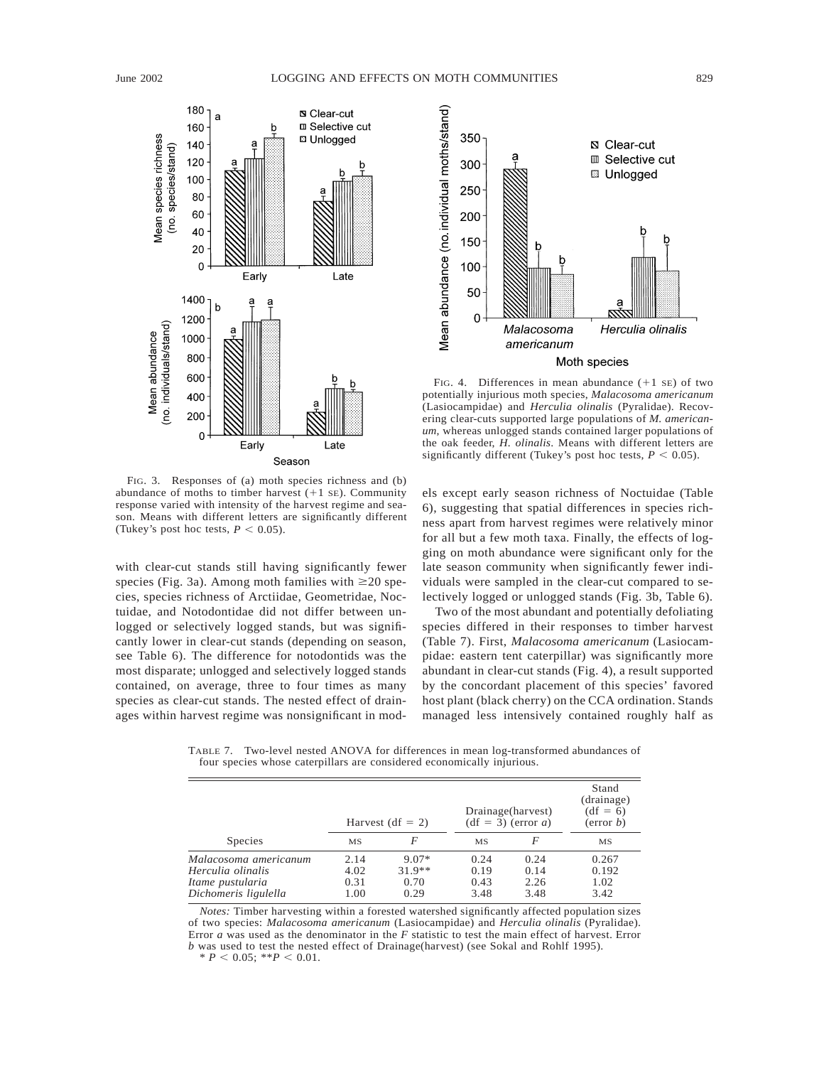

FIG. 3. Responses of (a) moth species richness and (b) abundance of moths to timber harvest  $(+1 \text{ sE})$ . Community response varied with intensity of the harvest regime and season. Means with different letters are significantly different (Tukey's post hoc tests,  $P < 0.05$ ).

with clear-cut stands still having significantly fewer species (Fig. 3a). Among moth families with  $\geq 20$  species, species richness of Arctiidae, Geometridae, Noctuidae, and Notodontidae did not differ between unlogged or selectively logged stands, but was significantly lower in clear-cut stands (depending on season, see Table 6). The difference for notodontids was the most disparate; unlogged and selectively logged stands contained, on average, three to four times as many species as clear-cut stands. The nested effect of drainages within harvest regime was nonsignificant in mod-



FIG. 4. Differences in mean abundance  $(+1 \text{ s})$  of two potentially injurious moth species, *Malacosoma americanum* (Lasiocampidae) and *Herculia olinalis* (Pyralidae). Recovering clear-cuts supported large populations of *M. americanum*, whereas unlogged stands contained larger populations of the oak feeder, *H. olinalis*. Means with different letters are significantly different (Tukey's post hoc tests,  $P < 0.05$ ).

els except early season richness of Noctuidae (Table 6), suggesting that spatial differences in species richness apart from harvest regimes were relatively minor for all but a few moth taxa. Finally, the effects of logging on moth abundance were significant only for the late season community when significantly fewer individuals were sampled in the clear-cut compared to selectively logged or unlogged stands (Fig. 3b, Table 6).

Two of the most abundant and potentially defoliating species differed in their responses to timber harvest (Table 7). First, *Malacosoma americanum* (Lasiocampidae: eastern tent caterpillar) was significantly more abundant in clear-cut stands (Fig. 4), a result supported by the concordant placement of this species' favored host plant (black cherry) on the CCA ordination. Stands managed less intensively contained roughly half as

TABLE 7. Two-level nested ANOVA for differences in mean log-transformed abundances of four species whose caterpillars are considered economically injurious.

|                       | Harvest (df = 2) |          |      | Drainage(harvest)<br>$(df = 3) (error a)$ |           |
|-----------------------|------------------|----------|------|-------------------------------------------|-----------|
| <b>Species</b>        | <b>MS</b>        |          | MS   | F                                         | <b>MS</b> |
| Malacosoma americanum | 2.14             | $9.07*$  | 0.24 | 0.24                                      | 0.267     |
| Herculia olinalis     | 4.02             | $31.9**$ | 0.19 | 0.14                                      | 0.192     |
| Itame pustularia      | 0.31             | 0.70     | 0.43 | 2.26                                      | 1.02      |
| Dichomeris ligulella  | 1.00             | 0.29     | 3.48 | 3.48                                      | 3.42      |

*Notes:* Timber harvesting within a forested watershed significantly affected population sizes of two species: *Malacosoma americanum* (Lasiocampidae) and *Herculia olinalis* (Pyralidae). Error *a* was used as the denominator in the *F* statistic to test the main effect of harvest. Error *b* was used to test the nested effect of Drainage(harvest) (see Sokal and Rohlf 1995).

 $P < 0.05$ ; \*\* $P < 0.01$ .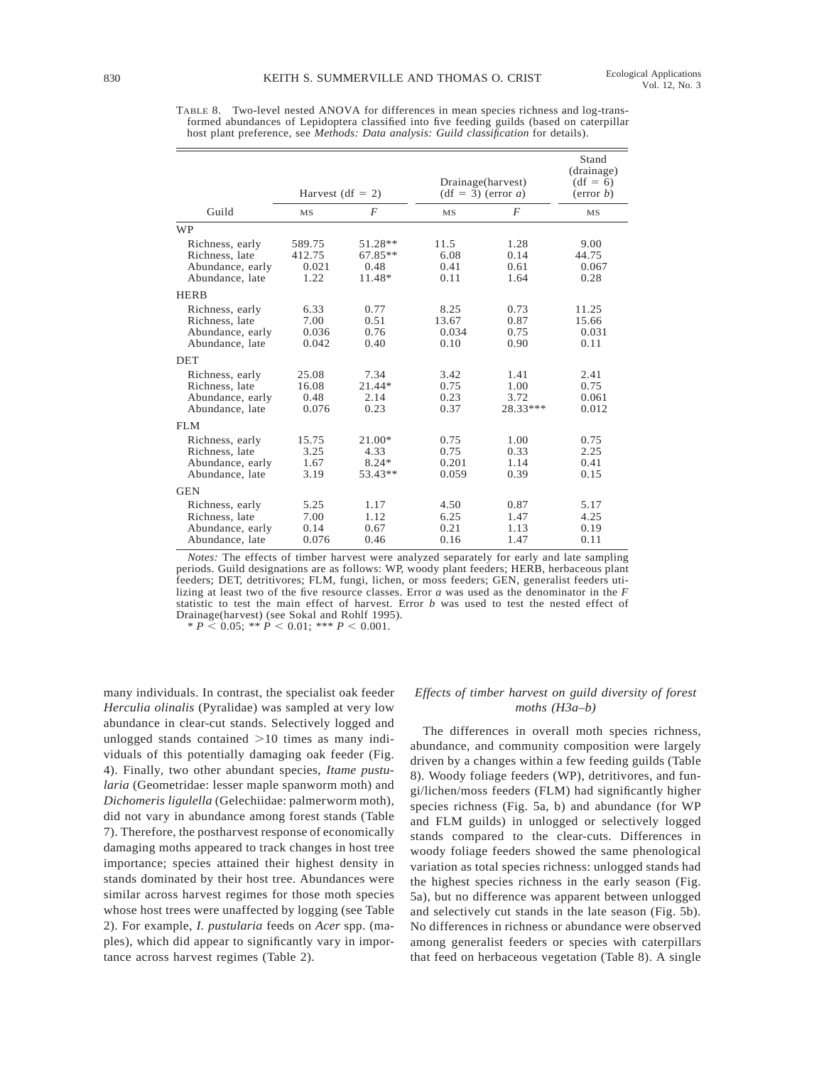|                                                                          | Harvest (df = 2)                  |                                        | Drainage(harvest)<br>$(df = 3) (error a)$ | Stand<br>(drainage)<br>$(df = 6)$<br>(error b) |                                 |
|--------------------------------------------------------------------------|-----------------------------------|----------------------------------------|-------------------------------------------|------------------------------------------------|---------------------------------|
| Guild                                                                    | <b>MS</b>                         | F                                      | <b>MS</b>                                 | F                                              | <b>MS</b>                       |
| <b>WP</b>                                                                |                                   |                                        |                                           |                                                |                                 |
| Richness, early<br>Richness, late<br>Abundance, early<br>Abundance, late | 589.75<br>412.75<br>0.021<br>1.22 | 51.28**<br>$67.85**$<br>0.48<br>11.48* | 11.5<br>6.08<br>0.41<br>0.11              | 1.28<br>0.14<br>0.61<br>1.64                   | 9.00<br>44.75<br>0.067<br>0.28  |
| <b>HERB</b>                                                              |                                   |                                        |                                           |                                                |                                 |
| Richness, early<br>Richness, late<br>Abundance, early<br>Abundance, late | 6.33<br>7.00<br>0.036<br>0.042    | 0.77<br>0.51<br>0.76<br>0.40           | 8.25<br>13.67<br>0.034<br>0.10            | 0.73<br>0.87<br>0.75<br>0.90                   | 11.25<br>15.66<br>0.031<br>0.11 |
| <b>DET</b>                                                               |                                   |                                        |                                           |                                                |                                 |
| Richness, early<br>Richness, late<br>Abundance, early<br>Abundance, late | 25.08<br>16.08<br>0.48<br>0.076   | 7.34<br>21.44*<br>2.14<br>0.23         | 3.42<br>0.75<br>0.23<br>0.37              | 1.41<br>1.00<br>3.72<br>28.33***               | 2.41<br>0.75<br>0.061<br>0.012  |
| FLM                                                                      |                                   |                                        |                                           |                                                |                                 |
| Richness, early<br>Richness, late<br>Abundance, early<br>Abundance, late | 15.75<br>3.25<br>1.67<br>3.19     | $21.00*$<br>4.33<br>$8.24*$<br>53.43** | 0.75<br>0.75<br>0.201<br>0.059            | 1.00<br>0.33<br>1.14<br>0.39                   | 0.75<br>2.25<br>0.41<br>0.15    |
| <b>GEN</b>                                                               |                                   |                                        |                                           |                                                |                                 |
| Richness, early<br>Richness, late<br>Abundance, early<br>Abundance, late | 5.25<br>7.00<br>0.14<br>0.076     | 1.17<br>1.12<br>0.67<br>0.46           | 4.50<br>6.25<br>0.21<br>0.16              | 0.87<br>1.47<br>1.13<br>1.47                   | 5.17<br>4.25<br>0.19<br>0.11    |

TABLE 8. Two-level nested ANOVA for differences in mean species richness and log-transformed abundances of Lepidoptera classified into five feeding guilds (based on caterpillar host plant preference, see *Methods: Data analysis: Guild classification* for details).

*Notes:* The effects of timber harvest were analyzed separately for early and late sampling periods. Guild designations are as follows: WP, woody plant feeders; HERB, herbaceous plant feeders; DET, detritivores; FLM, fungi, lichen, or moss feeders; GEN, generalist feeders utilizing at least two of the five resource classes. Error *a* was used as the denominator in the *F* statistic to test the main effect of harvest. Error *b* was used to test the nested effect of Drainage(harvest) (see Sokal and Rohlf 1995).

 $* \, P \leq 0.05;$   $* \, P \leq 0.01;$   $* \, * \, P \leq 0.001.$ 

many individuals. In contrast, the specialist oak feeder *Herculia olinalis* (Pyralidae) was sampled at very low abundance in clear-cut stands. Selectively logged and unlogged stands contained  $>10$  times as many individuals of this potentially damaging oak feeder (Fig. 4). Finally, two other abundant species, *Itame pustularia* (Geometridae: lesser maple spanworm moth) and *Dichomeris ligulella* (Gelechiidae: palmerworm moth), did not vary in abundance among forest stands (Table 7). Therefore, the postharvest response of economically damaging moths appeared to track changes in host tree importance; species attained their highest density in stands dominated by their host tree. Abundances were similar across harvest regimes for those moth species whose host trees were unaffected by logging (see Table 2). For example, *I. pustularia* feeds on *Acer* spp. (maples), which did appear to significantly vary in importance across harvest regimes (Table 2).

# *Effects of timber harvest on guild diversity of forest moths (H3a–b)*

The differences in overall moth species richness, abundance, and community composition were largely driven by a changes within a few feeding guilds (Table 8). Woody foliage feeders (WP), detritivores, and fungi/lichen/moss feeders (FLM) had significantly higher species richness (Fig. 5a, b) and abundance (for WP and FLM guilds) in unlogged or selectively logged stands compared to the clear-cuts. Differences in woody foliage feeders showed the same phenological variation as total species richness: unlogged stands had the highest species richness in the early season (Fig. 5a), but no difference was apparent between unlogged and selectively cut stands in the late season (Fig. 5b). No differences in richness or abundance were observed among generalist feeders or species with caterpillars that feed on herbaceous vegetation (Table 8). A single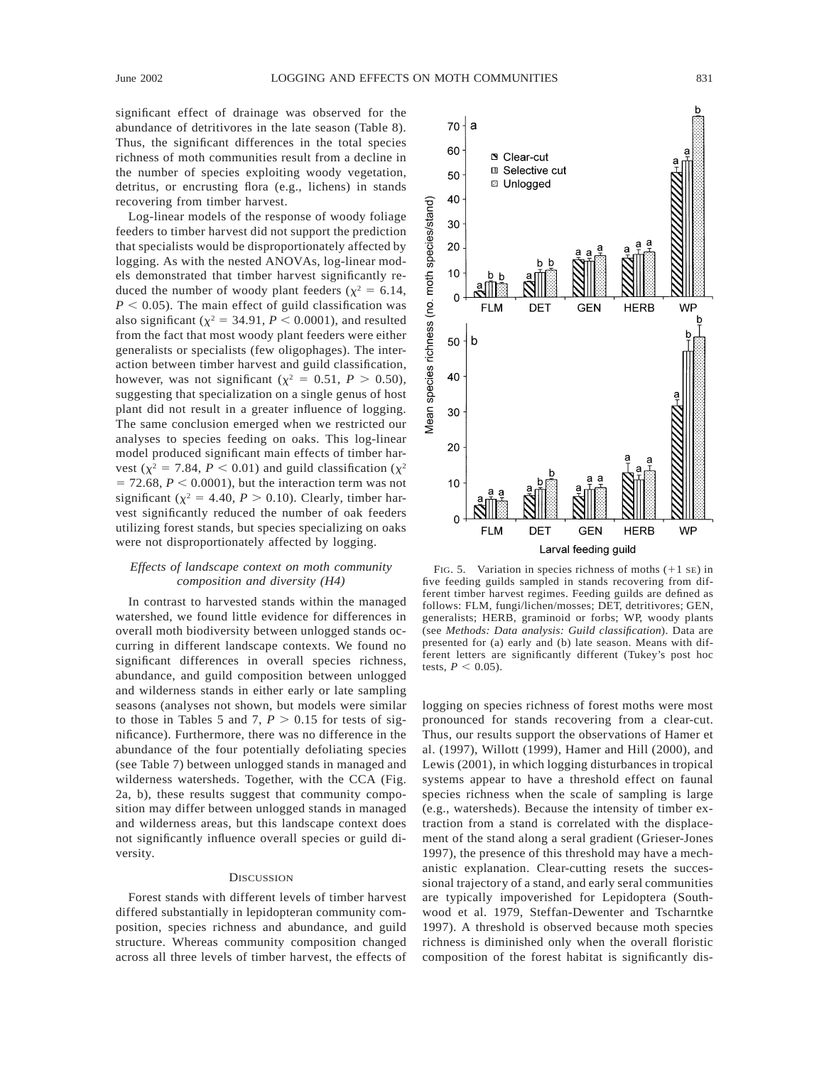significant effect of drainage was observed for the abundance of detritivores in the late season (Table 8). Thus, the significant differences in the total species richness of moth communities result from a decline in the number of species exploiting woody vegetation, detritus, or encrusting flora (e.g., lichens) in stands recovering from timber harvest.

Log-linear models of the response of woody foliage feeders to timber harvest did not support the prediction that specialists would be disproportionately affected by logging. As with the nested ANOVAs, log-linear models demonstrated that timber harvest significantly reduced the number of woody plant feeders ( $\chi^2 = 6.14$ ,  $P < 0.05$ ). The main effect of guild classification was also significant ( $\chi^2$  = 34.91, *P* < 0.0001), and resulted from the fact that most woody plant feeders were either generalists or specialists (few oligophages). The interaction between timber harvest and guild classification, however, was not significant ( $\chi^2 = 0.51$ ,  $P > 0.50$ ), suggesting that specialization on a single genus of host plant did not result in a greater influence of logging. The same conclusion emerged when we restricted our analyses to species feeding on oaks. This log-linear model produced significant main effects of timber harvest ( $\chi^2$  = 7.84, *P* < 0.01) and guild classification ( $\chi^2$  $= 72.68, P < 0.0001$ , but the interaction term was not significant ( $\chi^2$  = 4.40, *P* > 0.10). Clearly, timber harvest significantly reduced the number of oak feeders utilizing forest stands, but species specializing on oaks were not disproportionately affected by logging.

# *Effects of landscape context on moth community composition and diversity (H4)*

In contrast to harvested stands within the managed watershed, we found little evidence for differences in overall moth biodiversity between unlogged stands occurring in different landscape contexts. We found no significant differences in overall species richness, abundance, and guild composition between unlogged and wilderness stands in either early or late sampling seasons (analyses not shown, but models were similar to those in Tables 5 and 7,  $P > 0.15$  for tests of significance). Furthermore, there was no difference in the abundance of the four potentially defoliating species (see Table 7) between unlogged stands in managed and wilderness watersheds. Together, with the CCA (Fig. 2a, b), these results suggest that community composition may differ between unlogged stands in managed and wilderness areas, but this landscape context does not significantly influence overall species or guild diversity.

#### **DISCUSSION**

Forest stands with different levels of timber harvest differed substantially in lepidopteran community composition, species richness and abundance, and guild structure. Whereas community composition changed across all three levels of timber harvest, the effects of



FIG. 5. Variation in species richness of moths  $(+1 \text{ s})$  in five feeding guilds sampled in stands recovering from different timber harvest regimes. Feeding guilds are defined as follows: FLM, fungi/lichen/mosses; DET, detritivores; GEN, generalists; HERB, graminoid or forbs; WP, woody plants (see *Methods: Data analysis: Guild classification*). Data are presented for (a) early and (b) late season. Means with different letters are significantly different (Tukey's post hoc tests,  $P < 0.05$ ).

logging on species richness of forest moths were most pronounced for stands recovering from a clear-cut. Thus, our results support the observations of Hamer et al. (1997), Willott (1999), Hamer and Hill (2000), and Lewis (2001), in which logging disturbances in tropical systems appear to have a threshold effect on faunal species richness when the scale of sampling is large (e.g., watersheds). Because the intensity of timber extraction from a stand is correlated with the displacement of the stand along a seral gradient (Grieser-Jones 1997), the presence of this threshold may have a mechanistic explanation. Clear-cutting resets the successional trajectory of a stand, and early seral communities are typically impoverished for Lepidoptera (Southwood et al. 1979, Steffan-Dewenter and Tscharntke 1997). A threshold is observed because moth species richness is diminished only when the overall floristic composition of the forest habitat is significantly dis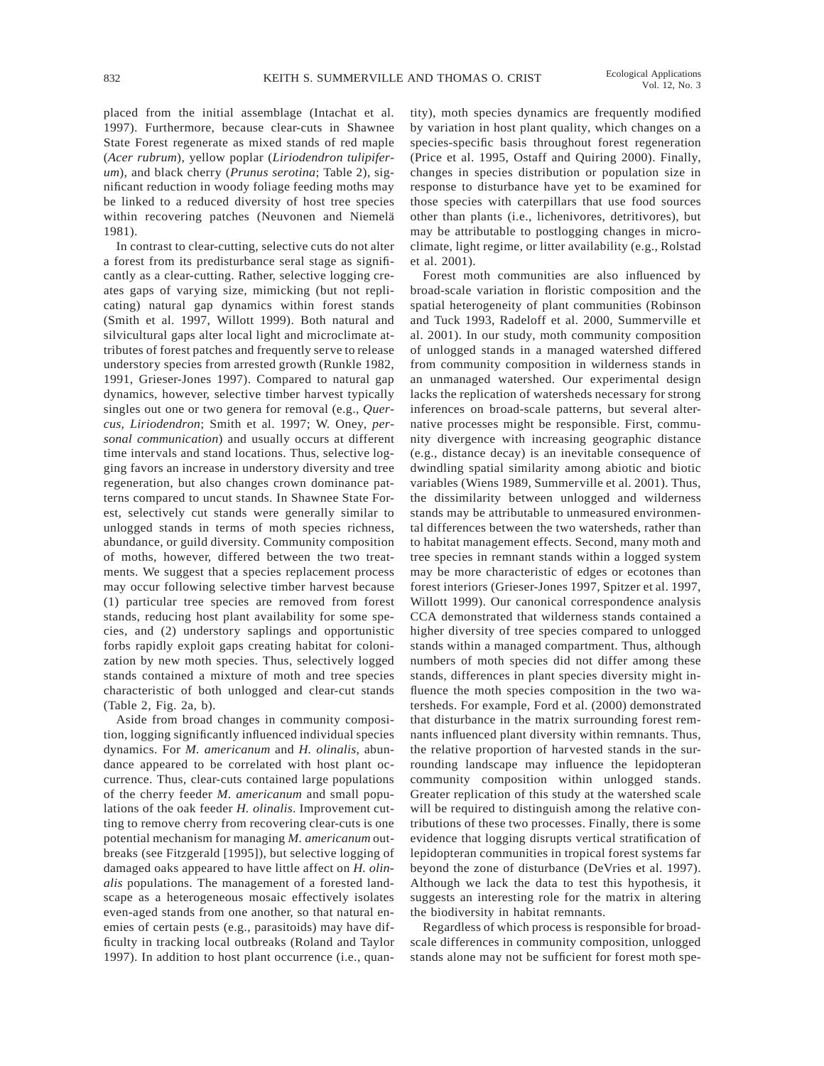placed from the initial assemblage (Intachat et al. 1997). Furthermore, because clear-cuts in Shawnee State Forest regenerate as mixed stands of red maple (*Acer rubrum*), yellow poplar (*Liriodendron tulipiferum*), and black cherry (*Prunus serotina*; Table 2), significant reduction in woody foliage feeding moths may be linked to a reduced diversity of host tree species within recovering patches (Neuvonen and Niemelä 1981).

In contrast to clear-cutting, selective cuts do not alter a forest from its predisturbance seral stage as significantly as a clear-cutting. Rather, selective logging creates gaps of varying size, mimicking (but not replicating) natural gap dynamics within forest stands (Smith et al. 1997, Willott 1999). Both natural and silvicultural gaps alter local light and microclimate attributes of forest patches and frequently serve to release understory species from arrested growth (Runkle 1982, 1991, Grieser-Jones 1997). Compared to natural gap dynamics, however, selective timber harvest typically singles out one or two genera for removal (e.g., *Quercus*, *Liriodendron*; Smith et al. 1997; W. Oney, *personal communication*) and usually occurs at different time intervals and stand locations. Thus, selective logging favors an increase in understory diversity and tree regeneration, but also changes crown dominance patterns compared to uncut stands. In Shawnee State Forest, selectively cut stands were generally similar to unlogged stands in terms of moth species richness, abundance, or guild diversity. Community composition of moths, however, differed between the two treatments. We suggest that a species replacement process may occur following selective timber harvest because (1) particular tree species are removed from forest stands, reducing host plant availability for some species, and (2) understory saplings and opportunistic forbs rapidly exploit gaps creating habitat for colonization by new moth species. Thus, selectively logged stands contained a mixture of moth and tree species characteristic of both unlogged and clear-cut stands (Table 2, Fig. 2a, b).

Aside from broad changes in community composition, logging significantly influenced individual species dynamics. For *M. americanum* and *H. olinalis*, abundance appeared to be correlated with host plant occurrence. Thus, clear-cuts contained large populations of the cherry feeder *M. americanum* and small populations of the oak feeder *H. olinalis*. Improvement cutting to remove cherry from recovering clear-cuts is one potential mechanism for managing *M. americanum* outbreaks (see Fitzgerald [1995]), but selective logging of damaged oaks appeared to have little affect on *H. olinalis* populations. The management of a forested landscape as a heterogeneous mosaic effectively isolates even-aged stands from one another, so that natural enemies of certain pests (e.g., parasitoids) may have difficulty in tracking local outbreaks (Roland and Taylor 1997). In addition to host plant occurrence (i.e., quantity), moth species dynamics are frequently modified by variation in host plant quality, which changes on a species-specific basis throughout forest regeneration (Price et al. 1995, Ostaff and Quiring 2000). Finally, changes in species distribution or population size in response to disturbance have yet to be examined for those species with caterpillars that use food sources other than plants (i.e., lichenivores, detritivores), but may be attributable to postlogging changes in microclimate, light regime, or litter availability (e.g., Rolstad et al. 2001).

Forest moth communities are also influenced by broad-scale variation in floristic composition and the spatial heterogeneity of plant communities (Robinson and Tuck 1993, Radeloff et al. 2000, Summerville et al. 2001). In our study, moth community composition of unlogged stands in a managed watershed differed from community composition in wilderness stands in an unmanaged watershed. Our experimental design lacks the replication of watersheds necessary for strong inferences on broad-scale patterns, but several alternative processes might be responsible. First, community divergence with increasing geographic distance (e.g., distance decay) is an inevitable consequence of dwindling spatial similarity among abiotic and biotic variables (Wiens 1989, Summerville et al. 2001). Thus, the dissimilarity between unlogged and wilderness stands may be attributable to unmeasured environmental differences between the two watersheds, rather than to habitat management effects. Second, many moth and tree species in remnant stands within a logged system may be more characteristic of edges or ecotones than forest interiors (Grieser-Jones 1997, Spitzer et al. 1997, Willott 1999). Our canonical correspondence analysis CCA demonstrated that wilderness stands contained a higher diversity of tree species compared to unlogged stands within a managed compartment. Thus, although numbers of moth species did not differ among these stands, differences in plant species diversity might influence the moth species composition in the two watersheds. For example, Ford et al. (2000) demonstrated that disturbance in the matrix surrounding forest remnants influenced plant diversity within remnants. Thus, the relative proportion of harvested stands in the surrounding landscape may influence the lepidopteran community composition within unlogged stands. Greater replication of this study at the watershed scale will be required to distinguish among the relative contributions of these two processes. Finally, there is some evidence that logging disrupts vertical stratification of lepidopteran communities in tropical forest systems far beyond the zone of disturbance (DeVries et al. 1997). Although we lack the data to test this hypothesis, it suggests an interesting role for the matrix in altering the biodiversity in habitat remnants.

Regardless of which process is responsible for broadscale differences in community composition, unlogged stands alone may not be sufficient for forest moth spe-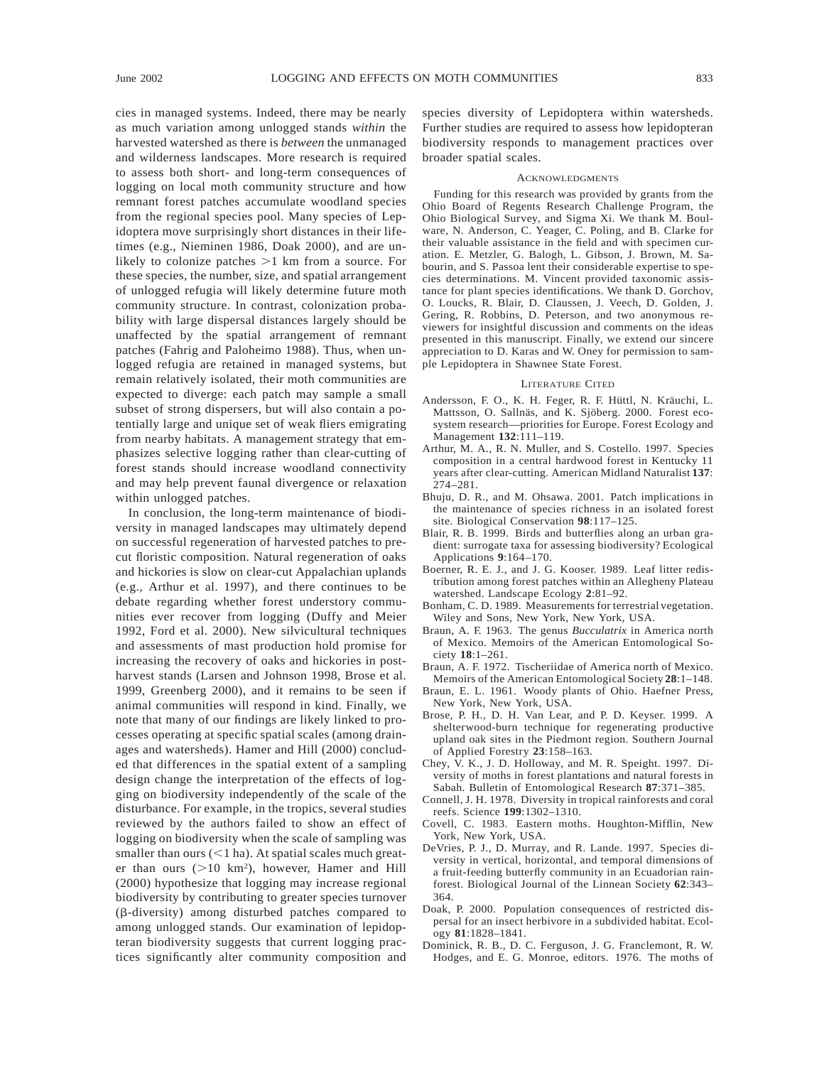cies in managed systems. Indeed, there may be nearly as much variation among unlogged stands *within* the harvested watershed as there is *between* the unmanaged and wilderness landscapes. More research is required to assess both short- and long-term consequences of logging on local moth community structure and how remnant forest patches accumulate woodland species from the regional species pool. Many species of Lepidoptera move surprisingly short distances in their lifetimes (e.g., Nieminen 1986, Doak 2000), and are unlikely to colonize patches  $>1$  km from a source. For these species, the number, size, and spatial arrangement of unlogged refugia will likely determine future moth community structure. In contrast, colonization probability with large dispersal distances largely should be unaffected by the spatial arrangement of remnant patches (Fahrig and Paloheimo 1988). Thus, when unlogged refugia are retained in managed systems, but remain relatively isolated, their moth communities are expected to diverge: each patch may sample a small subset of strong dispersers, but will also contain a potentially large and unique set of weak fliers emigrating from nearby habitats. A management strategy that emphasizes selective logging rather than clear-cutting of forest stands should increase woodland connectivity and may help prevent faunal divergence or relaxation within unlogged patches.

In conclusion, the long-term maintenance of biodiversity in managed landscapes may ultimately depend on successful regeneration of harvested patches to precut floristic composition. Natural regeneration of oaks and hickories is slow on clear-cut Appalachian uplands (e.g., Arthur et al. 1997), and there continues to be debate regarding whether forest understory communities ever recover from logging (Duffy and Meier 1992, Ford et al. 2000). New silvicultural techniques and assessments of mast production hold promise for increasing the recovery of oaks and hickories in postharvest stands (Larsen and Johnson 1998, Brose et al. 1999, Greenberg 2000), and it remains to be seen if animal communities will respond in kind. Finally, we note that many of our findings are likely linked to processes operating at specific spatial scales (among drainages and watersheds). Hamer and Hill (2000) concluded that differences in the spatial extent of a sampling design change the interpretation of the effects of logging on biodiversity independently of the scale of the disturbance. For example, in the tropics, several studies reviewed by the authors failed to show an effect of logging on biodiversity when the scale of sampling was smaller than ours  $(<1$  ha). At spatial scales much greater than ours  $(>10 \text{ km}^2)$ , however, Hamer and Hill (2000) hypothesize that logging may increase regional biodiversity by contributing to greater species turnover (b-diversity) among disturbed patches compared to among unlogged stands. Our examination of lepidopteran biodiversity suggests that current logging practices significantly alter community composition and species diversity of Lepidoptera within watersheds. Further studies are required to assess how lepidopteran biodiversity responds to management practices over broader spatial scales.

#### **ACKNOWLEDGMENTS**

Funding for this research was provided by grants from the Ohio Board of Regents Research Challenge Program, the Ohio Biological Survey, and Sigma Xi. We thank M. Boulware, N. Anderson, C. Yeager, C. Poling, and B. Clarke for their valuable assistance in the field and with specimen curation. E. Metzler, G. Balogh, L. Gibson, J. Brown, M. Sabourin, and S. Passoa lent their considerable expertise to species determinations. M. Vincent provided taxonomic assistance for plant species identifications. We thank D. Gorchov, O. Loucks, R. Blair, D. Claussen, J. Veech, D. Golden, J. Gering, R. Robbins, D. Peterson, and two anonymous reviewers for insightful discussion and comments on the ideas presented in this manuscript. Finally, we extend our sincere appreciation to D. Karas and W. Oney for permission to sample Lepidoptera in Shawnee State Forest.

#### LITERATURE CITED

- Andersson, F. O., K. H. Feger, R. F. Hüttl, N. Kräuchi, L. Mattsson, O. Sallnäs, and K. Sjöberg. 2000. Forest ecosystem research—priorities for Europe. Forest Ecology and Management **132**:111–119.
- Arthur, M. A., R. N. Muller, and S. Costello. 1997. Species composition in a central hardwood forest in Kentucky 11 years after clear-cutting. American Midland Naturalist **137**: 274–281.
- Bhuju, D. R., and M. Ohsawa. 2001. Patch implications in the maintenance of species richness in an isolated forest site. Biological Conservation **98**:117–125.
- Blair, R. B. 1999. Birds and butterflies along an urban gradient: surrogate taxa for assessing biodiversity? Ecological Applications **9**:164–170.
- Boerner, R. E. J., and J. G. Kooser. 1989. Leaf litter redistribution among forest patches within an Allegheny Plateau watershed. Landscape Ecology **2**:81–92.
- Bonham, C. D. 1989. Measurements for terrestrial vegetation. Wiley and Sons, New York, New York, USA.
- Braun, A. F. 1963. The genus *Bucculatrix* in America north of Mexico. Memoirs of the American Entomological Society **18**:1–261.
- Braun, A. F. 1972. Tischeriidae of America north of Mexico. Memoirs of the American Entomological Society **28**:1–148.
- Braun, E. L. 1961. Woody plants of Ohio. Haefner Press, New York, New York, USA.
- Brose, P. H., D. H. Van Lear, and P. D. Keyser. 1999. A shelterwood-burn technique for regenerating productive upland oak sites in the Piedmont region. Southern Journal of Applied Forestry **23**:158–163.
- Chey, V. K., J. D. Holloway, and M. R. Speight. 1997. Diversity of moths in forest plantations and natural forests in Sabah. Bulletin of Entomological Research **87**:371–385.
- Connell, J. H. 1978. Diversity in tropical rainforests and coral reefs. Science **199**:1302–1310.
- Covell, C. 1983. Eastern moths. Houghton-Mifflin, New York, New York, USA.
- DeVries, P. J., D. Murray, and R. Lande. 1997. Species diversity in vertical, horizontal, and temporal dimensions of a fruit-feeding butterfly community in an Ecuadorian rainforest. Biological Journal of the Linnean Society **62**:343– 364.
- Doak, P. 2000. Population consequences of restricted dispersal for an insect herbivore in a subdivided habitat. Ecology **81**:1828–1841.
- Dominick, R. B., D. C. Ferguson, J. G. Franclemont, R. W. Hodges, and E. G. Monroe, editors. 1976. The moths of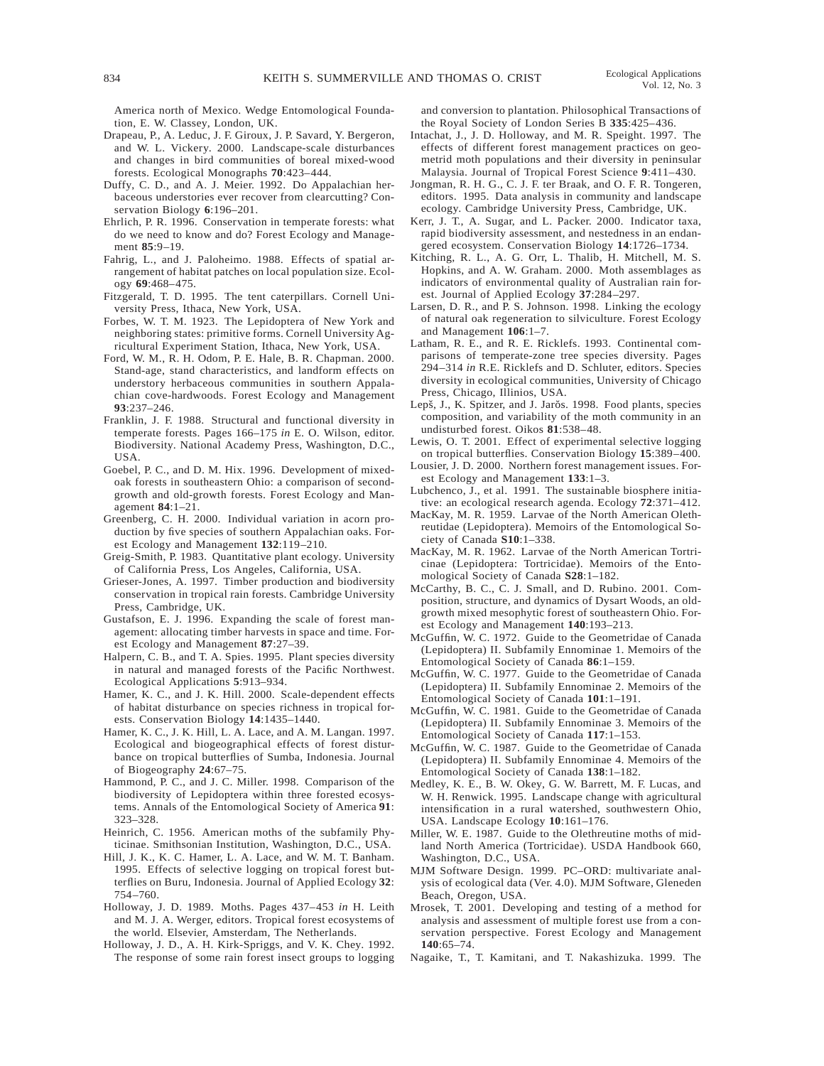America north of Mexico. Wedge Entomological Foundation, E. W. Classey, London, UK.

- Drapeau, P., A. Leduc, J. F. Giroux, J. P. Savard, Y. Bergeron, and W. L. Vickery. 2000. Landscape-scale disturbances and changes in bird communities of boreal mixed-wood forests. Ecological Monographs **70**:423–444.
- Duffy, C. D., and A. J. Meier. 1992. Do Appalachian herbaceous understories ever recover from clearcutting? Conservation Biology **6**:196–201.
- Ehrlich, P. R. 1996. Conservation in temperate forests: what do we need to know and do? Forest Ecology and Management **85**:9–19.
- Fahrig, L., and J. Paloheimo. 1988. Effects of spatial arrangement of habitat patches on local population size. Ecology **69**:468–475.
- Fitzgerald, T. D. 1995. The tent caterpillars. Cornell University Press, Ithaca, New York, USA.
- Forbes, W. T. M. 1923. The Lepidoptera of New York and neighboring states: primitive forms. Cornell University Agricultural Experiment Station, Ithaca, New York, USA.
- Ford, W. M., R. H. Odom, P. E. Hale, B. R. Chapman. 2000. Stand-age, stand characteristics, and landform effects on understory herbaceous communities in southern Appalachian cove-hardwoods. Forest Ecology and Management **93**:237–246.
- Franklin, J. F. 1988. Structural and functional diversity in temperate forests. Pages 166–175 *in* E. O. Wilson, editor. Biodiversity. National Academy Press, Washington, D.C., USA.
- Goebel, P. C., and D. M. Hix. 1996. Development of mixedoak forests in southeastern Ohio: a comparison of secondgrowth and old-growth forests. Forest Ecology and Management **84**:1–21.
- Greenberg, C. H. 2000. Individual variation in acorn production by five species of southern Appalachian oaks. Forest Ecology and Management **132**:119–210.
- Greig-Smith, P. 1983. Quantitative plant ecology. University of California Press, Los Angeles, California, USA.
- Grieser-Jones, A. 1997. Timber production and biodiversity conservation in tropical rain forests. Cambridge University Press, Cambridge, UK.
- Gustafson, E. J. 1996. Expanding the scale of forest management: allocating timber harvests in space and time. Forest Ecology and Management **87**:27–39.
- Halpern, C. B., and T. A. Spies. 1995. Plant species diversity in natural and managed forests of the Pacific Northwest. Ecological Applications **5**:913–934.
- Hamer, K. C., and J. K. Hill. 2000. Scale-dependent effects of habitat disturbance on species richness in tropical forests. Conservation Biology **14**:1435–1440.
- Hamer, K. C., J. K. Hill, L. A. Lace, and A. M. Langan. 1997. Ecological and biogeographical effects of forest disturbance on tropical butterflies of Sumba, Indonesia. Journal of Biogeography **24**:67–75.
- Hammond, P. C., and J. C. Miller. 1998. Comparison of the biodiversity of Lepidoptera within three forested ecosystems. Annals of the Entomological Society of America **91**: 323–328.
- Heinrich, C. 1956. American moths of the subfamily Phyticinae. Smithsonian Institution, Washington, D.C., USA.
- Hill, J. K., K. C. Hamer, L. A. Lace, and W. M. T. Banham. 1995. Effects of selective logging on tropical forest butterflies on Buru, Indonesia. Journal of Applied Ecology **32**: 754–760.
- Holloway, J. D. 1989. Moths. Pages 437–453 *in* H. Leith and M. J. A. Werger, editors. Tropical forest ecosystems of the world. Elsevier, Amsterdam, The Netherlands.
- Holloway, J. D., A. H. Kirk-Spriggs, and V. K. Chey. 1992. The response of some rain forest insect groups to logging

and conversion to plantation. Philosophical Transactions of the Royal Society of London Series B **335**:425–436.

- Intachat, J., J. D. Holloway, and M. R. Speight. 1997. The effects of different forest management practices on geometrid moth populations and their diversity in peninsular Malaysia. Journal of Tropical Forest Science **9**:411–430.
- Jongman, R. H. G., C. J. F. ter Braak, and O. F. R. Tongeren, editors. 1995. Data analysis in community and landscape ecology. Cambridge University Press, Cambridge, UK.
- Kerr, J. T., A. Sugar, and L. Packer. 2000. Indicator taxa, rapid biodiversity assessment, and nestedness in an endangered ecosystem. Conservation Biology **14**:1726–1734.
- Kitching, R. L., A. G. Orr, L. Thalib, H. Mitchell, M. S. Hopkins, and A. W. Graham. 2000. Moth assemblages as indicators of environmental quality of Australian rain forest. Journal of Applied Ecology **37**:284–297.
- Larsen, D. R., and P. S. Johnson. 1998. Linking the ecology of natural oak regeneration to silviculture. Forest Ecology and Management **106**:1–7.
- Latham, R. E., and R. E. Ricklefs. 1993. Continental comparisons of temperate-zone tree species diversity. Pages 294–314 *in* R.E. Ricklefs and D. Schluter, editors. Species diversity in ecological communities, University of Chicago Press, Chicago, Illinios, USA.
- Lepš, J., K. Spitzer, and J. Jarŏs. 1998. Food plants, species composition, and variability of the moth community in an undisturbed forest. Oikos **81**:538–48.
- Lewis, O. T. 2001. Effect of experimental selective logging on tropical butterflies. Conservation Biology **15**:389–400.
- Lousier, J. D. 2000. Northern forest management issues. Forest Ecology and Management **133**:1–3.
- Lubchenco, J., et al. 1991. The sustainable biosphere initiative: an ecological research agenda. Ecology **72**:371–412.
- MacKay, M. R. 1959. Larvae of the North American Olethreutidae (Lepidoptera). Memoirs of the Entomological Society of Canada **S10**:1–338.
- MacKay, M. R. 1962. Larvae of the North American Tortricinae (Lepidoptera: Tortricidae). Memoirs of the Entomological Society of Canada **S28**:1–182.
- McCarthy, B. C., C. J. Small, and D. Rubino. 2001. Composition, structure, and dynamics of Dysart Woods, an oldgrowth mixed mesophytic forest of southeastern Ohio. Forest Ecology and Management **140**:193–213.
- McGuffin, W. C. 1972. Guide to the Geometridae of Canada (Lepidoptera) II. Subfamily Ennominae 1. Memoirs of the Entomological Society of Canada **86**:1–159.
- McGuffin, W. C. 1977. Guide to the Geometridae of Canada (Lepidoptera) II. Subfamily Ennominae 2. Memoirs of the Entomological Society of Canada **101**:1–191.
- McGuffin, W. C. 1981. Guide to the Geometridae of Canada (Lepidoptera) II. Subfamily Ennominae 3. Memoirs of the Entomological Society of Canada **117**:1–153.
- McGuffin, W. C. 1987. Guide to the Geometridae of Canada (Lepidoptera) II. Subfamily Ennominae 4. Memoirs of the Entomological Society of Canada **138**:1–182.
- Medley, K. E., B. W. Okey, G. W. Barrett, M. F. Lucas, and W. H. Renwick. 1995. Landscape change with agricultural intensification in a rural watershed, southwestern Ohio, USA. Landscape Ecology **10**:161–176.
- Miller, W. E. 1987. Guide to the Olethreutine moths of midland North America (Tortricidae). USDA Handbook 660, Washington, D.C., USA.
- MJM Software Design. 1999. PC–ORD: multivariate analysis of ecological data (Ver. 4.0). MJM Software, Gleneden Beach, Oregon, USA.
- Mrosek, T. 2001. Developing and testing of a method for analysis and assessment of multiple forest use from a conservation perspective. Forest Ecology and Management **140**:65–74.
- Nagaike, T., T. Kamitani, and T. Nakashizuka. 1999. The